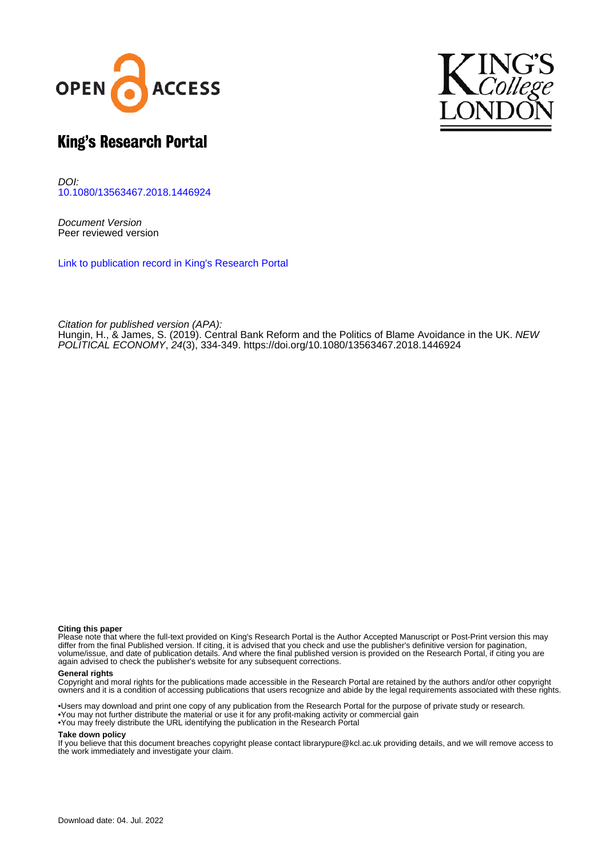



# King's Research Portal

DOI: [10.1080/13563467.2018.1446924](https://doi.org/10.1080/13563467.2018.1446924)

Document Version Peer reviewed version

[Link to publication record in King's Research Portal](https://kclpure.kcl.ac.uk/portal/en/publications/central-bank-reform-and-the-politics-of-blame-avoidance-in-the-uk(3dcd35fd-4bd1-4c4a-b082-d9d97250281f).html)

Citation for published version (APA): Hungin, H[., & James, S.](https://kclpure.kcl.ac.uk/portal/en/persons/scott-james(be28cfca-fbe7-40b3-808b-ea3e45a5e9df).html) (2019). [Central Bank Reform and the Politics of Blame Avoidance in the UK.](https://kclpure.kcl.ac.uk/portal/en/publications/central-bank-reform-and-the-politics-of-blame-avoidance-in-the-uk(3dcd35fd-4bd1-4c4a-b082-d9d97250281f).html) [NEW](https://kclpure.kcl.ac.uk/portal/en/journals/new-political-economy(f27748dc-5f12-465d-a52e-875eab3173a1).html) [POLITICAL ECONOMY](https://kclpure.kcl.ac.uk/portal/en/journals/new-political-economy(f27748dc-5f12-465d-a52e-875eab3173a1).html), 24(3), 334-349.<https://doi.org/10.1080/13563467.2018.1446924>

#### **Citing this paper**

Please note that where the full-text provided on King's Research Portal is the Author Accepted Manuscript or Post-Print version this may differ from the final Published version. If citing, it is advised that you check and use the publisher's definitive version for pagination, volume/issue, and date of publication details. And where the final published version is provided on the Research Portal, if citing you are again advised to check the publisher's website for any subsequent corrections.

#### **General rights**

Copyright and moral rights for the publications made accessible in the Research Portal are retained by the authors and/or other copyright owners and it is a condition of accessing publications that users recognize and abide by the legal requirements associated with these rights.

•Users may download and print one copy of any publication from the Research Portal for the purpose of private study or research. •You may not further distribute the material or use it for any profit-making activity or commercial gain •You may freely distribute the URL identifying the publication in the Research Portal

#### **Take down policy**

If you believe that this document breaches copyright please contact librarypure@kcl.ac.uk providing details, and we will remove access to the work immediately and investigate your claim.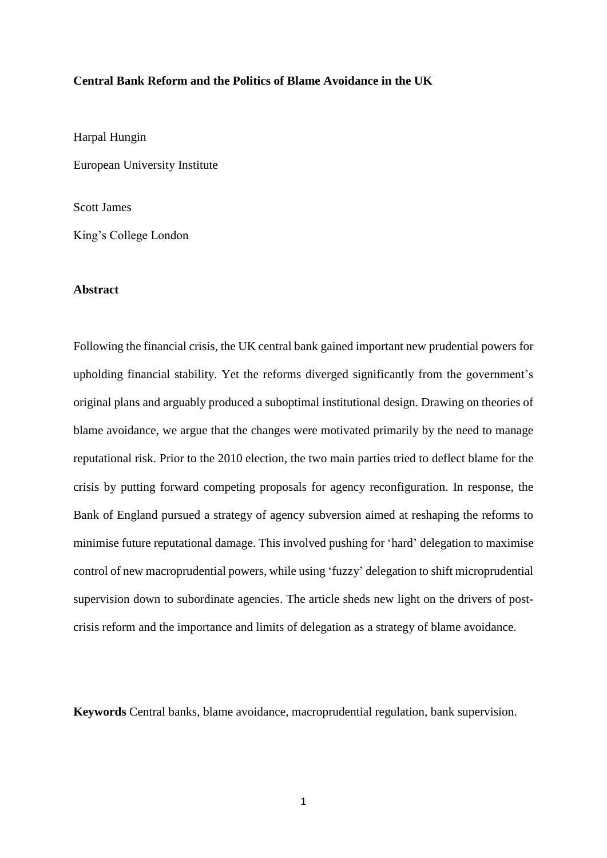### **Central Bank Reform and the Politics of Blame Avoidance in the UK**

Harpal Hungin European University Institute

Scott James

King's College London

### **Abstract**

Following the financial crisis, the UK central bank gained important new prudential powers for upholding financial stability. Yet the reforms diverged significantly from the government's original plans and arguably produced a suboptimal institutional design. Drawing on theories of blame avoidance, we argue that the changes were motivated primarily by the need to manage reputational risk. Prior to the 2010 election, the two main parties tried to deflect blame for the crisis by putting forward competing proposals for agency reconfiguration. In response, the Bank of England pursued a strategy of agency subversion aimed at reshaping the reforms to minimise future reputational damage. This involved pushing for 'hard' delegation to maximise control of new macroprudential powers, while using 'fuzzy' delegation to shift microprudential supervision down to subordinate agencies. The article sheds new light on the drivers of postcrisis reform and the importance and limits of delegation as a strategy of blame avoidance.

**Keywords** Central banks, blame avoidance, macroprudential regulation, bank supervision.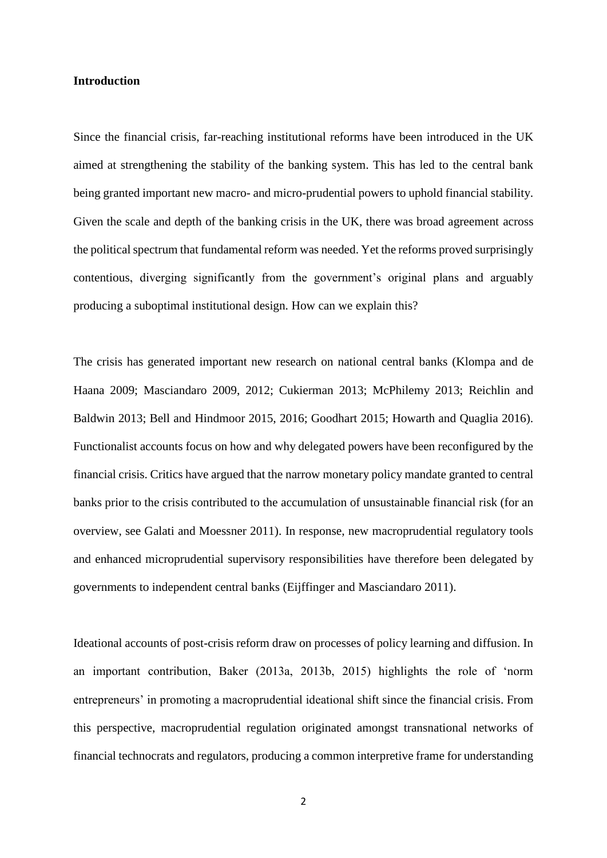# **Introduction**

Since the financial crisis, far-reaching institutional reforms have been introduced in the UK aimed at strengthening the stability of the banking system. This has led to the central bank being granted important new macro- and micro-prudential powers to uphold financial stability. Given the scale and depth of the banking crisis in the UK, there was broad agreement across the political spectrum that fundamental reform was needed. Yet the reforms proved surprisingly contentious, diverging significantly from the government's original plans and arguably producing a suboptimal institutional design. How can we explain this?

The crisis has generated important new research on national central banks (Klompa and de Haana 2009; Masciandaro 2009, 2012; Cukierman 2013; McPhilemy 2013; Reichlin and Baldwin 2013; Bell and Hindmoor 2015, 2016; Goodhart 2015; Howarth and Quaglia 2016). Functionalist accounts focus on how and why delegated powers have been reconfigured by the financial crisis. Critics have argued that the narrow monetary policy mandate granted to central banks prior to the crisis contributed to the accumulation of unsustainable financial risk (for an overview, see Galati and Moessner 2011). In response, new macroprudential regulatory tools and enhanced microprudential supervisory responsibilities have therefore been delegated by governments to independent central banks (Eijffinger and Masciandaro 2011).

Ideational accounts of post-crisis reform draw on processes of policy learning and diffusion. In an important contribution, Baker (2013a, 2013b, 2015) highlights the role of 'norm entrepreneurs' in promoting a macroprudential ideational shift since the financial crisis. From this perspective, macroprudential regulation originated amongst transnational networks of financial technocrats and regulators, producing a common interpretive frame for understanding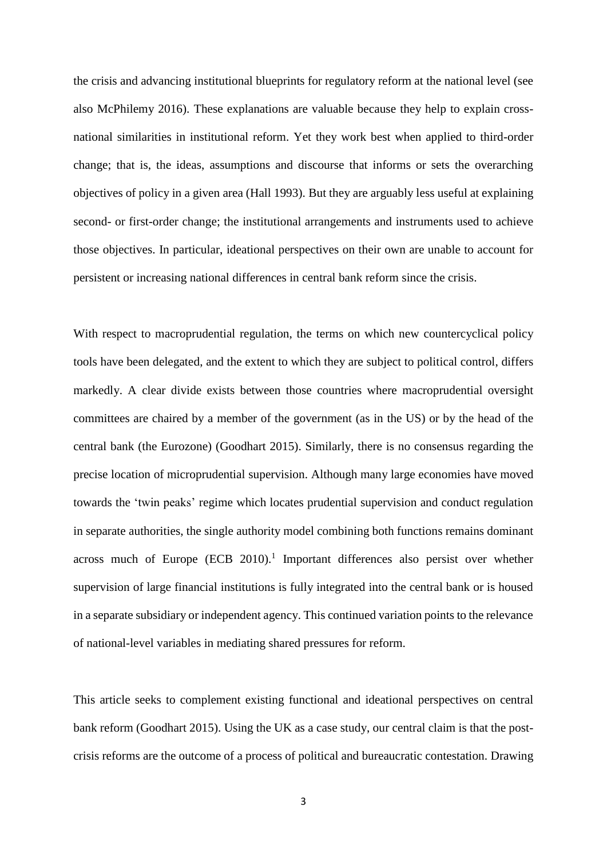the crisis and advancing institutional blueprints for regulatory reform at the national level (see also McPhilemy 2016). These explanations are valuable because they help to explain crossnational similarities in institutional reform. Yet they work best when applied to third-order change; that is, the ideas, assumptions and discourse that informs or sets the overarching objectives of policy in a given area (Hall 1993). But they are arguably less useful at explaining second- or first-order change; the institutional arrangements and instruments used to achieve those objectives. In particular, ideational perspectives on their own are unable to account for persistent or increasing national differences in central bank reform since the crisis.

With respect to macroprudential regulation, the terms on which new countercyclical policy tools have been delegated, and the extent to which they are subject to political control, differs markedly. A clear divide exists between those countries where macroprudential oversight committees are chaired by a member of the government (as in the US) or by the head of the central bank (the Eurozone) (Goodhart 2015). Similarly, there is no consensus regarding the precise location of microprudential supervision. Although many large economies have moved towards the 'twin peaks' regime which locates prudential supervision and conduct regulation in separate authorities, the single authority model combining both functions remains dominant across much of Europe (ECB 2010). 1 Important differences also persist over whether supervision of large financial institutions is fully integrated into the central bank or is housed in a separate subsidiary or independent agency. This continued variation points to the relevance of national-level variables in mediating shared pressures for reform.

This article seeks to complement existing functional and ideational perspectives on central bank reform (Goodhart 2015). Using the UK as a case study, our central claim is that the postcrisis reforms are the outcome of a process of political and bureaucratic contestation. Drawing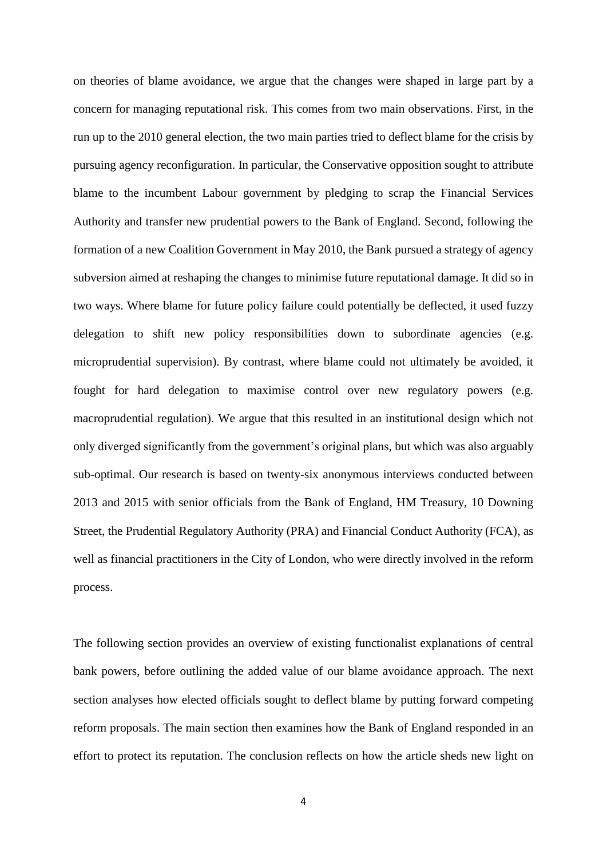on theories of blame avoidance, we argue that the changes were shaped in large part by a concern for managing reputational risk. This comes from two main observations. First, in the run up to the 2010 general election, the two main parties tried to deflect blame for the crisis by pursuing agency reconfiguration. In particular, the Conservative opposition sought to attribute blame to the incumbent Labour government by pledging to scrap the Financial Services Authority and transfer new prudential powers to the Bank of England. Second, following the formation of a new Coalition Government in May 2010, the Bank pursued a strategy of agency subversion aimed at reshaping the changes to minimise future reputational damage. It did so in two ways. Where blame for future policy failure could potentially be deflected, it used fuzzy delegation to shift new policy responsibilities down to subordinate agencies (e.g. microprudential supervision). By contrast, where blame could not ultimately be avoided, it fought for hard delegation to maximise control over new regulatory powers (e.g. macroprudential regulation). We argue that this resulted in an institutional design which not only diverged significantly from the government's original plans, but which was also arguably sub-optimal. Our research is based on twenty-six anonymous interviews conducted between 2013 and 2015 with senior officials from the Bank of England, HM Treasury, 10 Downing Street, the Prudential Regulatory Authority (PRA) and Financial Conduct Authority (FCA), as well as financial practitioners in the City of London, who were directly involved in the reform process.

The following section provides an overview of existing functionalist explanations of central bank powers, before outlining the added value of our blame avoidance approach. The next section analyses how elected officials sought to deflect blame by putting forward competing reform proposals. The main section then examines how the Bank of England responded in an effort to protect its reputation. The conclusion reflects on how the article sheds new light on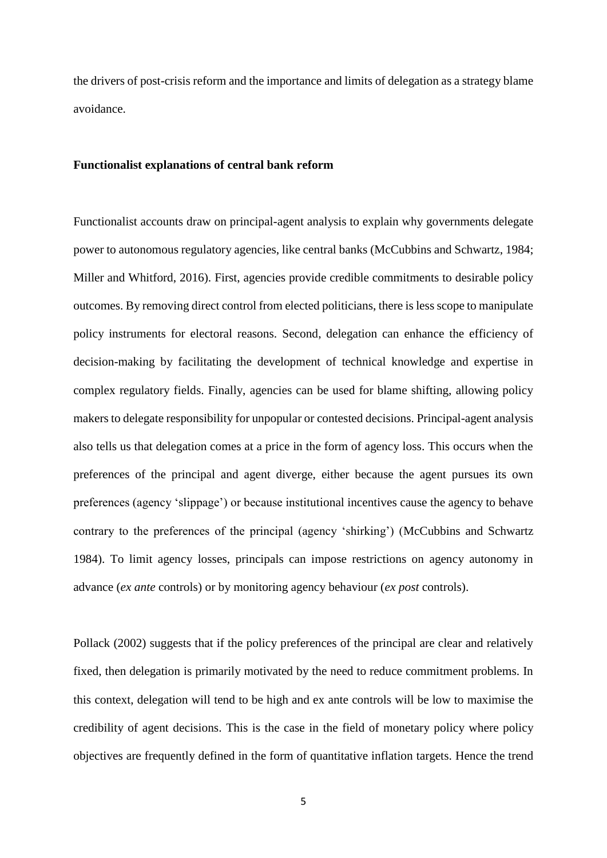the drivers of post-crisis reform and the importance and limits of delegation as a strategy blame avoidance.

### **Functionalist explanations of central bank reform**

Functionalist accounts draw on principal-agent analysis to explain why governments delegate power to autonomous regulatory agencies, like central banks (McCubbins and Schwartz, 1984; Miller and Whitford, 2016). First, agencies provide credible commitments to desirable policy outcomes. By removing direct control from elected politicians, there is less scope to manipulate policy instruments for electoral reasons. Second, delegation can enhance the efficiency of decision-making by facilitating the development of technical knowledge and expertise in complex regulatory fields. Finally, agencies can be used for blame shifting, allowing policy makers to delegate responsibility for unpopular or contested decisions. Principal-agent analysis also tells us that delegation comes at a price in the form of agency loss. This occurs when the preferences of the principal and agent diverge, either because the agent pursues its own preferences (agency 'slippage') or because institutional incentives cause the agency to behave contrary to the preferences of the principal (agency 'shirking') (McCubbins and Schwartz 1984). To limit agency losses, principals can impose restrictions on agency autonomy in advance (*ex ante* controls) or by monitoring agency behaviour (*ex post* controls).

Pollack (2002) suggests that if the policy preferences of the principal are clear and relatively fixed, then delegation is primarily motivated by the need to reduce commitment problems. In this context, delegation will tend to be high and ex ante controls will be low to maximise the credibility of agent decisions. This is the case in the field of monetary policy where policy objectives are frequently defined in the form of quantitative inflation targets. Hence the trend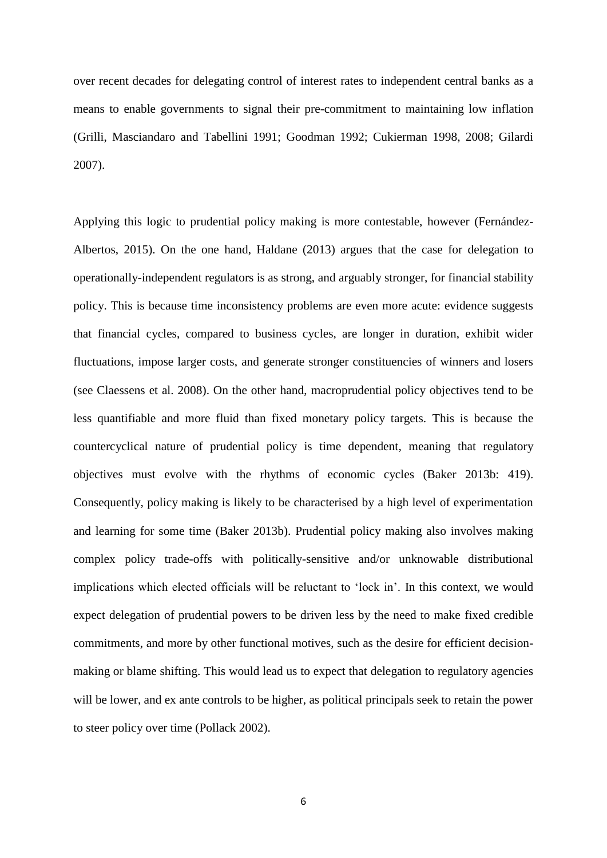over recent decades for delegating control of interest rates to independent central banks as a means to enable governments to signal their pre-commitment to maintaining low inflation (Grilli, Masciandaro and Tabellini 1991; Goodman 1992; Cukierman 1998, 2008; Gilardi 2007).

Applying this logic to prudential policy making is more contestable, however (Fernández-Albertos, 2015). On the one hand, Haldane (2013) argues that the case for delegation to operationally-independent regulators is as strong, and arguably stronger, for financial stability policy. This is because time inconsistency problems are even more acute: evidence suggests that financial cycles, compared to business cycles, are longer in duration, exhibit wider fluctuations, impose larger costs, and generate stronger constituencies of winners and losers (see Claessens et al. 2008). On the other hand, macroprudential policy objectives tend to be less quantifiable and more fluid than fixed monetary policy targets. This is because the countercyclical nature of prudential policy is time dependent, meaning that regulatory objectives must evolve with the rhythms of economic cycles (Baker 2013b: 419). Consequently, policy making is likely to be characterised by a high level of experimentation and learning for some time (Baker 2013b). Prudential policy making also involves making complex policy trade-offs with politically-sensitive and/or unknowable distributional implications which elected officials will be reluctant to 'lock in'. In this context, we would expect delegation of prudential powers to be driven less by the need to make fixed credible commitments, and more by other functional motives, such as the desire for efficient decisionmaking or blame shifting. This would lead us to expect that delegation to regulatory agencies will be lower, and ex ante controls to be higher, as political principals seek to retain the power to steer policy over time (Pollack 2002).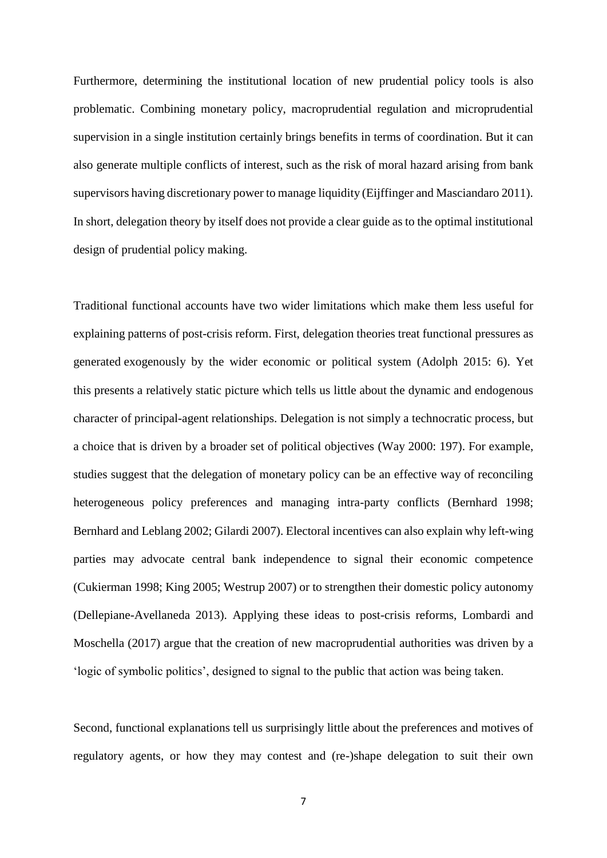Furthermore, determining the institutional location of new prudential policy tools is also problematic. Combining monetary policy, macroprudential regulation and microprudential supervision in a single institution certainly brings benefits in terms of coordination. But it can also generate multiple conflicts of interest, such as the risk of moral hazard arising from bank supervisors having discretionary power to manage liquidity (Eijffinger and Masciandaro 2011). In short, delegation theory by itself does not provide a clear guide as to the optimal institutional design of prudential policy making.

Traditional functional accounts have two wider limitations which make them less useful for explaining patterns of post-crisis reform. First, delegation theories treat functional pressures as generated exogenously by the wider economic or political system (Adolph 2015: 6). Yet this presents a relatively static picture which tells us little about the dynamic and endogenous character of principal-agent relationships. Delegation is not simply a technocratic process, but a choice that is driven by a broader set of political objectives (Way 2000: 197). For example, studies suggest that the delegation of monetary policy can be an effective way of reconciling heterogeneous policy preferences and managing intra-party conflicts (Bernhard 1998; Bernhard and Leblang 2002; Gilardi 2007). Electoral incentives can also explain why left-wing parties may advocate central bank independence to signal their economic competence (Cukierman 1998; King 2005; Westrup 2007) or to strengthen their domestic policy autonomy (Dellepiane-Avellaneda 2013). Applying these ideas to post-crisis reforms, Lombardi and Moschella (2017) argue that the creation of new macroprudential authorities was driven by a 'logic of symbolic politics', designed to signal to the public that action was being taken.

Second, functional explanations tell us surprisingly little about the preferences and motives of regulatory agents, or how they may contest and (re-)shape delegation to suit their own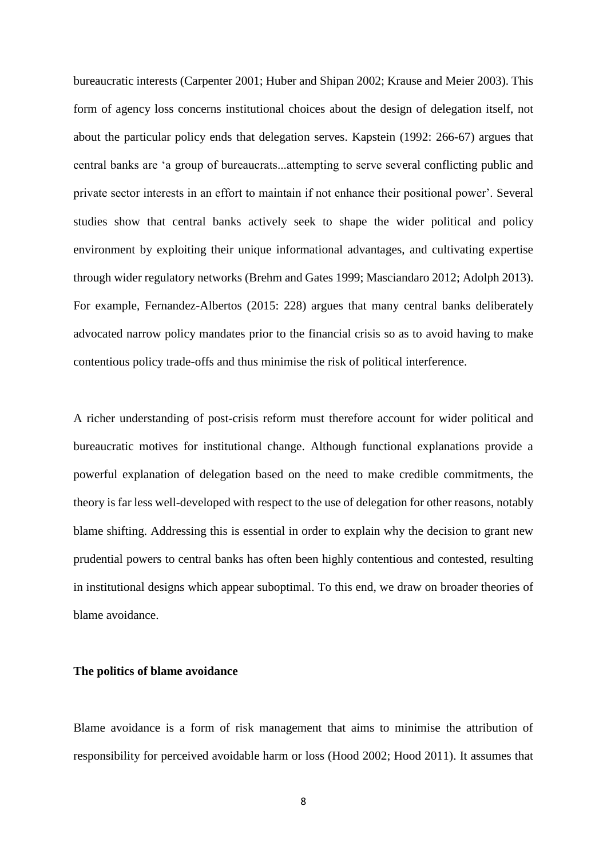bureaucratic interests (Carpenter 2001; Huber and Shipan 2002; Krause and Meier 2003). This form of agency loss concerns institutional choices about the design of delegation itself, not about the particular policy ends that delegation serves. Kapstein (1992: 266-67) argues that central banks are 'a group of bureaucrats...attempting to serve several conflicting public and private sector interests in an effort to maintain if not enhance their positional power'. Several studies show that central banks actively seek to shape the wider political and policy environment by exploiting their unique informational advantages, and cultivating expertise through wider regulatory networks (Brehm and Gates 1999; Masciandaro 2012; Adolph 2013). For example, Fernandez-Albertos (2015: 228) argues that many central banks deliberately advocated narrow policy mandates prior to the financial crisis so as to avoid having to make contentious policy trade-offs and thus minimise the risk of political interference.

A richer understanding of post-crisis reform must therefore account for wider political and bureaucratic motives for institutional change. Although functional explanations provide a powerful explanation of delegation based on the need to make credible commitments, the theory is far less well-developed with respect to the use of delegation for other reasons, notably blame shifting. Addressing this is essential in order to explain why the decision to grant new prudential powers to central banks has often been highly contentious and contested, resulting in institutional designs which appear suboptimal. To this end, we draw on broader theories of blame avoidance.

# **The politics of blame avoidance**

Blame avoidance is a form of risk management that aims to minimise the attribution of responsibility for perceived avoidable harm or loss (Hood 2002; Hood 2011). It assumes that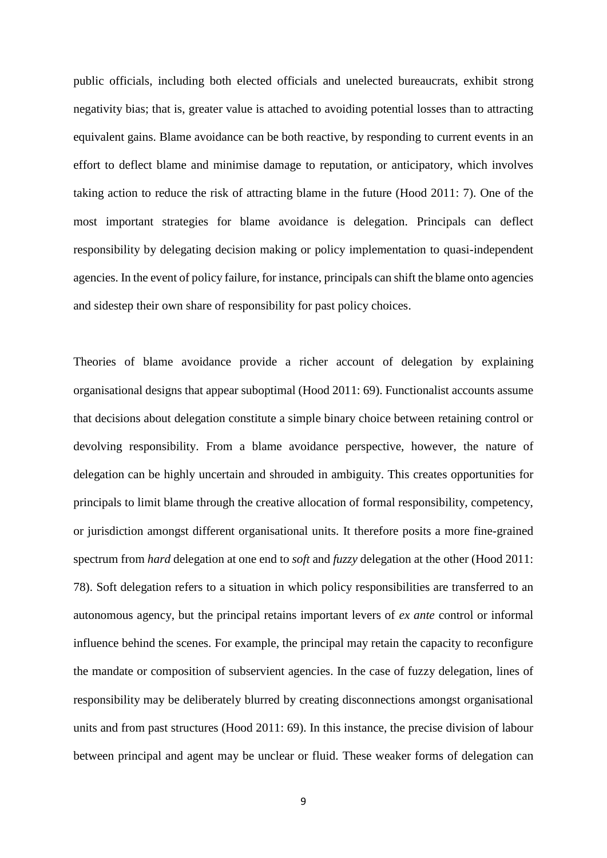public officials, including both elected officials and unelected bureaucrats, exhibit strong negativity bias; that is, greater value is attached to avoiding potential losses than to attracting equivalent gains. Blame avoidance can be both reactive, by responding to current events in an effort to deflect blame and minimise damage to reputation, or anticipatory, which involves taking action to reduce the risk of attracting blame in the future (Hood 2011: 7). One of the most important strategies for blame avoidance is delegation. Principals can deflect responsibility by delegating decision making or policy implementation to quasi-independent agencies. In the event of policy failure, for instance, principals can shift the blame onto agencies and sidestep their own share of responsibility for past policy choices.

Theories of blame avoidance provide a richer account of delegation by explaining organisational designs that appear suboptimal (Hood 2011: 69). Functionalist accounts assume that decisions about delegation constitute a simple binary choice between retaining control or devolving responsibility. From a blame avoidance perspective, however, the nature of delegation can be highly uncertain and shrouded in ambiguity. This creates opportunities for principals to limit blame through the creative allocation of formal responsibility, competency, or jurisdiction amongst different organisational units. It therefore posits a more fine-grained spectrum from *hard* delegation at one end to *soft* and *fuzzy* delegation at the other (Hood 2011: 78). Soft delegation refers to a situation in which policy responsibilities are transferred to an autonomous agency, but the principal retains important levers of *ex ante* control or informal influence behind the scenes. For example, the principal may retain the capacity to reconfigure the mandate or composition of subservient agencies. In the case of fuzzy delegation, lines of responsibility may be deliberately blurred by creating disconnections amongst organisational units and from past structures (Hood 2011: 69). In this instance, the precise division of labour between principal and agent may be unclear or fluid. These weaker forms of delegation can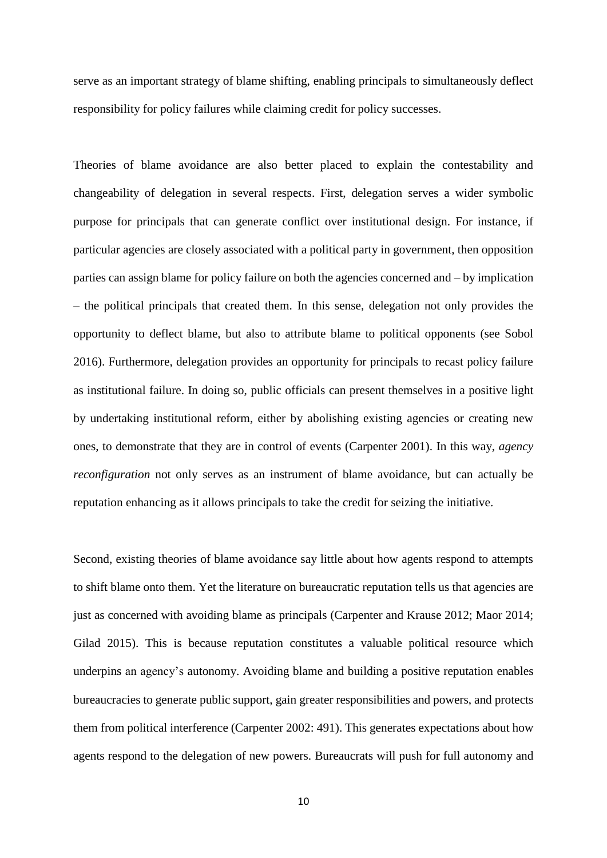serve as an important strategy of blame shifting, enabling principals to simultaneously deflect responsibility for policy failures while claiming credit for policy successes.

Theories of blame avoidance are also better placed to explain the contestability and changeability of delegation in several respects. First, delegation serves a wider symbolic purpose for principals that can generate conflict over institutional design. For instance, if particular agencies are closely associated with a political party in government, then opposition parties can assign blame for policy failure on both the agencies concerned and – by implication – the political principals that created them. In this sense, delegation not only provides the opportunity to deflect blame, but also to attribute blame to political opponents (see Sobol 2016). Furthermore, delegation provides an opportunity for principals to recast policy failure as institutional failure. In doing so, public officials can present themselves in a positive light by undertaking institutional reform, either by abolishing existing agencies or creating new ones, to demonstrate that they are in control of events (Carpenter 2001). In this way, *agency reconfiguration* not only serves as an instrument of blame avoidance, but can actually be reputation enhancing as it allows principals to take the credit for seizing the initiative.

Second, existing theories of blame avoidance say little about how agents respond to attempts to shift blame onto them. Yet the literature on bureaucratic reputation tells us that agencies are just as concerned with avoiding blame as principals (Carpenter and Krause 2012; Maor 2014; Gilad 2015). This is because reputation constitutes a valuable political resource which underpins an agency's autonomy. Avoiding blame and building a positive reputation enables bureaucracies to generate public support, gain greater responsibilities and powers, and protects them from political interference (Carpenter 2002: 491). This generates expectations about how agents respond to the delegation of new powers. Bureaucrats will push for full autonomy and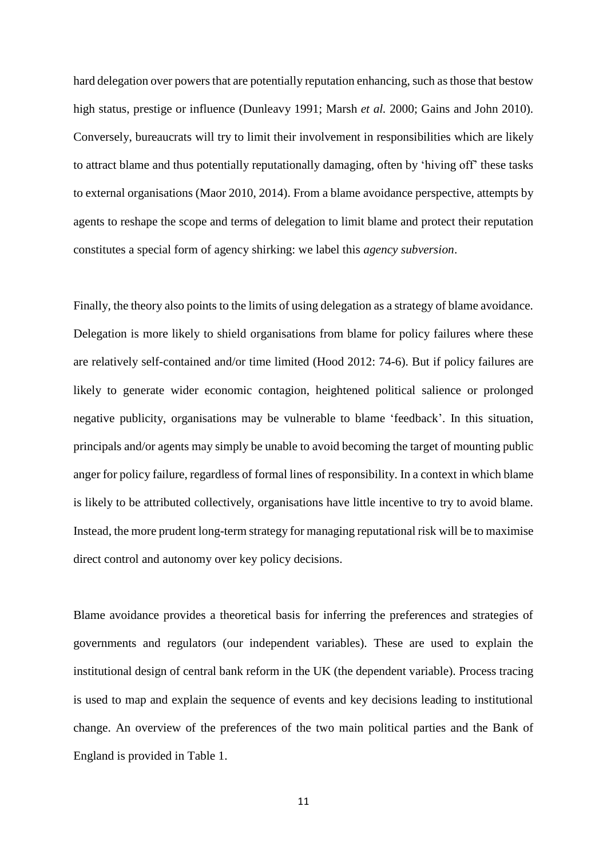hard delegation over powers that are potentially reputation enhancing, such as those that bestow high status, prestige or influence (Dunleavy 1991; Marsh *et al.* 2000; Gains and John 2010). Conversely, bureaucrats will try to limit their involvement in responsibilities which are likely to attract blame and thus potentially reputationally damaging, often by 'hiving off' these tasks to external organisations (Maor 2010, 2014). From a blame avoidance perspective, attempts by agents to reshape the scope and terms of delegation to limit blame and protect their reputation constitutes a special form of agency shirking: we label this *agency subversion*.

Finally, the theory also points to the limits of using delegation as a strategy of blame avoidance. Delegation is more likely to shield organisations from blame for policy failures where these are relatively self-contained and/or time limited (Hood 2012: 74-6). But if policy failures are likely to generate wider economic contagion, heightened political salience or prolonged negative publicity, organisations may be vulnerable to blame 'feedback'. In this situation, principals and/or agents may simply be unable to avoid becoming the target of mounting public anger for policy failure, regardless of formal lines of responsibility. In a context in which blame is likely to be attributed collectively, organisations have little incentive to try to avoid blame. Instead, the more prudent long-term strategy for managing reputational risk will be to maximise direct control and autonomy over key policy decisions.

Blame avoidance provides a theoretical basis for inferring the preferences and strategies of governments and regulators (our independent variables). These are used to explain the institutional design of central bank reform in the UK (the dependent variable). Process tracing is used to map and explain the sequence of events and key decisions leading to institutional change. An overview of the preferences of the two main political parties and the Bank of England is provided in Table 1.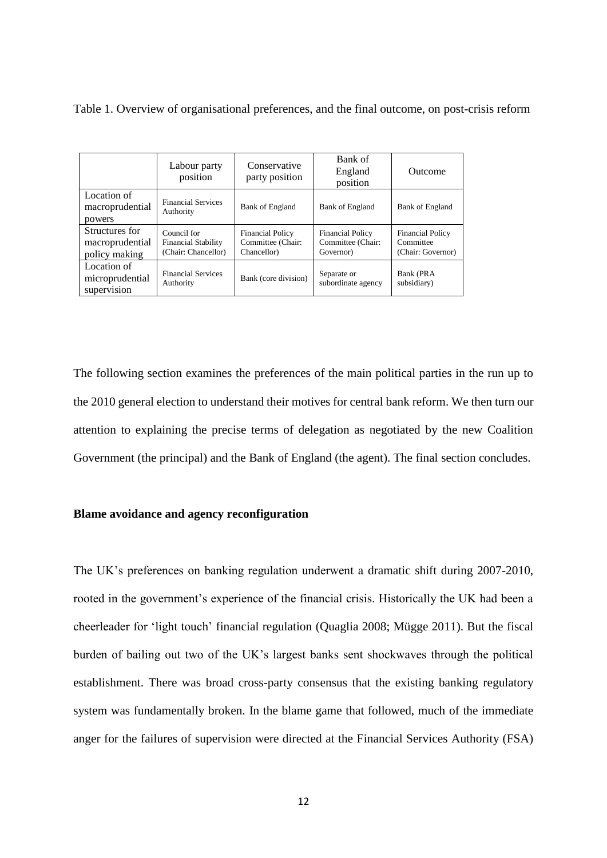Table 1. Overview of organisational preferences, and the final outcome, on post-crisis reform

|                                                    | Labour party<br>position                                         | Conservative<br>party position                              | Bank of<br>England<br>position                            | Outcome                                                   |
|----------------------------------------------------|------------------------------------------------------------------|-------------------------------------------------------------|-----------------------------------------------------------|-----------------------------------------------------------|
| Location of<br>macroprudential<br>powers           | <b>Financial Services</b><br>Authority                           | Bank of England                                             | Bank of England                                           | Bank of England                                           |
| Structures for<br>macroprudential<br>policy making | Council for<br><b>Financial Stability</b><br>(Chair: Chancellor) | <b>Financial Policy</b><br>Committee (Chair:<br>Chancellor) | <b>Financial Policy</b><br>Committee (Chair:<br>Governor) | <b>Financial Policy</b><br>Committee<br>(Chair: Governor) |
| Location of<br>microprudential<br>supervision      | <b>Financial Services</b><br>Authority                           | Bank (core division)                                        | Separate or<br>subordinate agency                         | Bank (PRA<br>subsidiary)                                  |

The following section examines the preferences of the main political parties in the run up to the 2010 general election to understand their motives for central bank reform. We then turn our attention to explaining the precise terms of delegation as negotiated by the new Coalition Government (the principal) and the Bank of England (the agent). The final section concludes.

# **Blame avoidance and agency reconfiguration**

The UK's preferences on banking regulation underwent a dramatic shift during 2007-2010, rooted in the government's experience of the financial crisis. Historically the UK had been a cheerleader for 'light touch' financial regulation (Quaglia 2008; Mügge 2011). But the fiscal burden of bailing out two of the UK's largest banks sent shockwaves through the political establishment. There was broad cross-party consensus that the existing banking regulatory system was fundamentally broken. In the blame game that followed, much of the immediate anger for the failures of supervision were directed at the Financial Services Authority (FSA)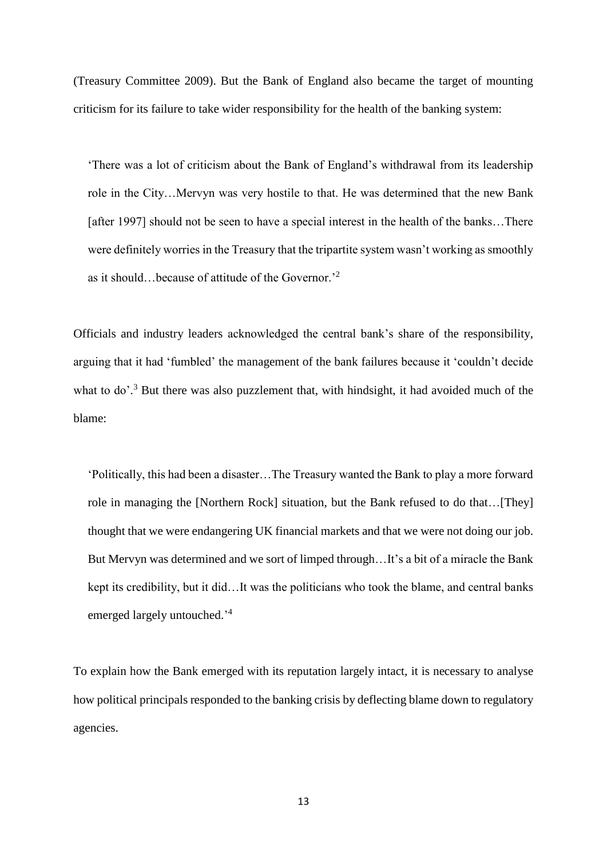(Treasury Committee 2009). But the Bank of England also became the target of mounting criticism for its failure to take wider responsibility for the health of the banking system:

'There was a lot of criticism about the Bank of England's withdrawal from its leadership role in the City…Mervyn was very hostile to that. He was determined that the new Bank [after 1997] should not be seen to have a special interest in the health of the banks...There were definitely worries in the Treasury that the tripartite system wasn't working as smoothly as it should…because of attitude of the Governor.'<sup>2</sup>

Officials and industry leaders acknowledged the central bank's share of the responsibility, arguing that it had 'fumbled' the management of the bank failures because it 'couldn't decide what to do'.<sup>3</sup> But there was also puzzlement that, with hindsight, it had avoided much of the blame:

'Politically, this had been a disaster…The Treasury wanted the Bank to play a more forward role in managing the [Northern Rock] situation, but the Bank refused to do that…[They] thought that we were endangering UK financial markets and that we were not doing our job. But Mervyn was determined and we sort of limped through…It's a bit of a miracle the Bank kept its credibility, but it did…It was the politicians who took the blame, and central banks emerged largely untouched.'<sup>4</sup>

To explain how the Bank emerged with its reputation largely intact, it is necessary to analyse how political principals responded to the banking crisis by deflecting blame down to regulatory agencies.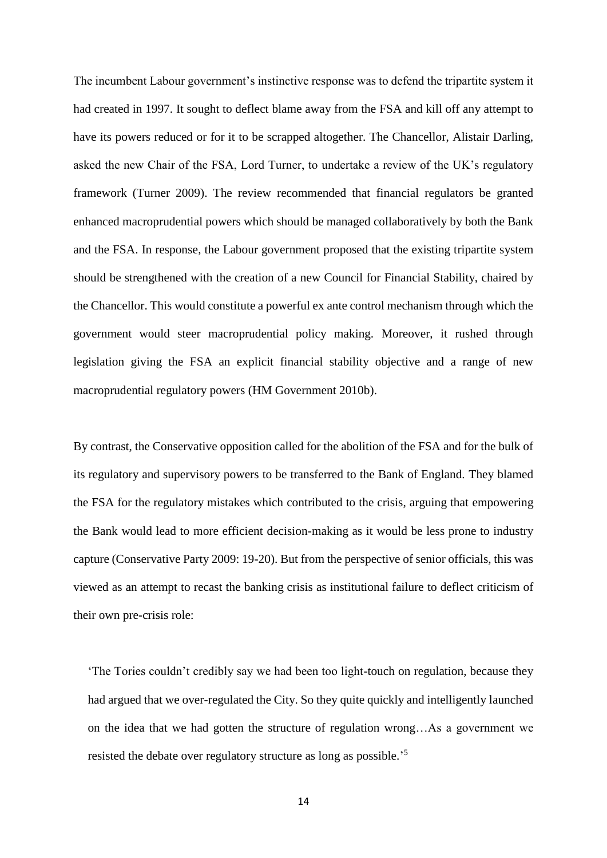The incumbent Labour government's instinctive response was to defend the tripartite system it had created in 1997. It sought to deflect blame away from the FSA and kill off any attempt to have its powers reduced or for it to be scrapped altogether. The Chancellor, Alistair Darling, asked the new Chair of the FSA, Lord Turner, to undertake a review of the UK's regulatory framework (Turner 2009). The review recommended that financial regulators be granted enhanced macroprudential powers which should be managed collaboratively by both the Bank and the FSA. In response, the Labour government proposed that the existing tripartite system should be strengthened with the creation of a new Council for Financial Stability, chaired by the Chancellor. This would constitute a powerful ex ante control mechanism through which the government would steer macroprudential policy making. Moreover, it rushed through legislation giving the FSA an explicit financial stability objective and a range of new macroprudential regulatory powers (HM Government 2010b).

By contrast, the Conservative opposition called for the abolition of the FSA and for the bulk of its regulatory and supervisory powers to be transferred to the Bank of England. They blamed the FSA for the regulatory mistakes which contributed to the crisis, arguing that empowering the Bank would lead to more efficient decision-making as it would be less prone to industry capture (Conservative Party 2009: 19-20). But from the perspective of senior officials, this was viewed as an attempt to recast the banking crisis as institutional failure to deflect criticism of their own pre-crisis role:

'The Tories couldn't credibly say we had been too light-touch on regulation, because they had argued that we over-regulated the City. So they quite quickly and intelligently launched on the idea that we had gotten the structure of regulation wrong…As a government we resisted the debate over regulatory structure as long as possible.<sup>5</sup>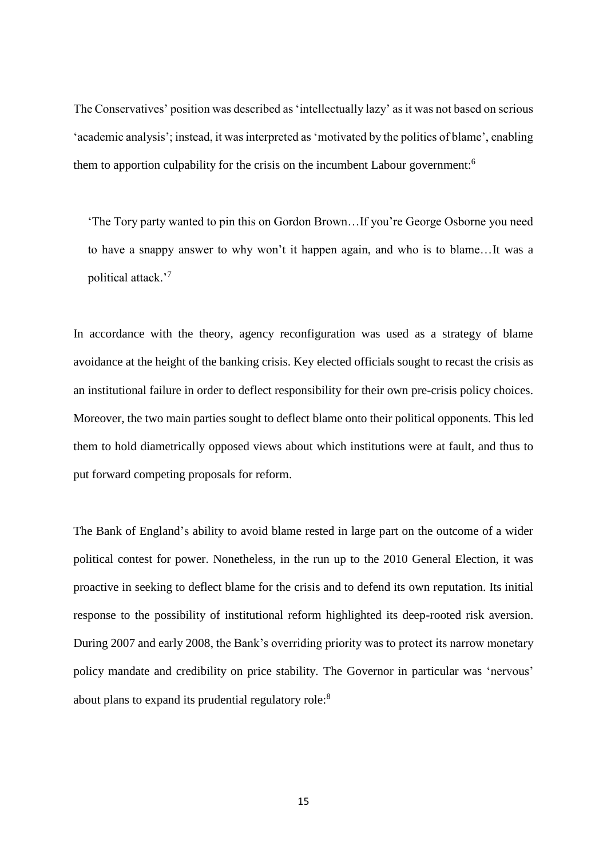The Conservatives' position was described as 'intellectually lazy' as it was not based on serious 'academic analysis'; instead, it was interpreted as 'motivated by the politics of blame', enabling them to apportion culpability for the crisis on the incumbent Labour government:<sup>6</sup>

'The Tory party wanted to pin this on Gordon Brown…If you're George Osborne you need to have a snappy answer to why won't it happen again, and who is to blame…It was a political attack.'<sup>7</sup>

In accordance with the theory, agency reconfiguration was used as a strategy of blame avoidance at the height of the banking crisis. Key elected officials sought to recast the crisis as an institutional failure in order to deflect responsibility for their own pre-crisis policy choices. Moreover, the two main parties sought to deflect blame onto their political opponents. This led them to hold diametrically opposed views about which institutions were at fault, and thus to put forward competing proposals for reform.

The Bank of England's ability to avoid blame rested in large part on the outcome of a wider political contest for power. Nonetheless, in the run up to the 2010 General Election, it was proactive in seeking to deflect blame for the crisis and to defend its own reputation. Its initial response to the possibility of institutional reform highlighted its deep-rooted risk aversion. During 2007 and early 2008, the Bank's overriding priority was to protect its narrow monetary policy mandate and credibility on price stability. The Governor in particular was 'nervous' about plans to expand its prudential regulatory role:<sup>8</sup>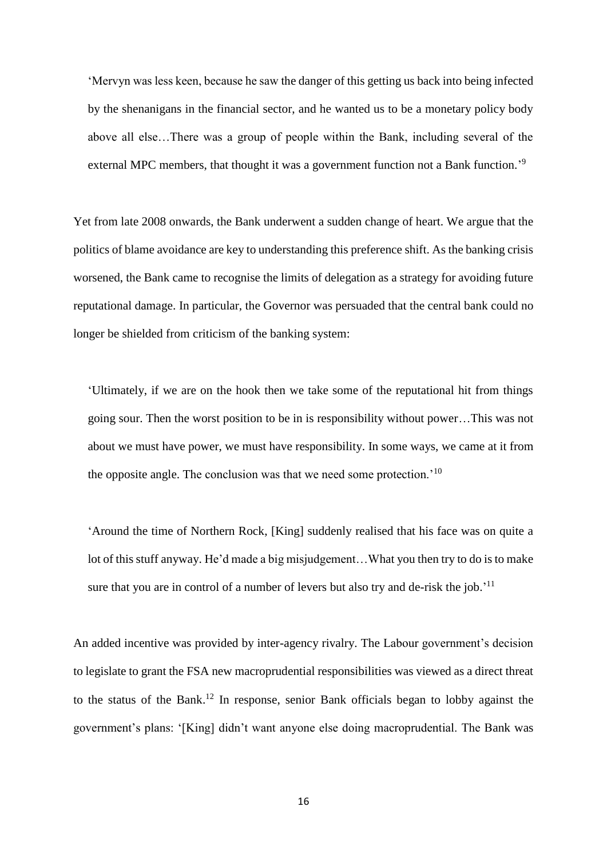'Mervyn was less keen, because he saw the danger of this getting us back into being infected by the shenanigans in the financial sector, and he wanted us to be a monetary policy body above all else…There was a group of people within the Bank, including several of the external MPC members, that thought it was a government function not a Bank function.<sup>'9</sup>

Yet from late 2008 onwards, the Bank underwent a sudden change of heart. We argue that the politics of blame avoidance are key to understanding this preference shift. As the banking crisis worsened, the Bank came to recognise the limits of delegation as a strategy for avoiding future reputational damage. In particular, the Governor was persuaded that the central bank could no longer be shielded from criticism of the banking system:

'Ultimately, if we are on the hook then we take some of the reputational hit from things going sour. Then the worst position to be in is responsibility without power…This was not about we must have power, we must have responsibility. In some ways, we came at it from the opposite angle. The conclusion was that we need some protection.'<sup>10</sup>

'Around the time of Northern Rock, [King] suddenly realised that his face was on quite a lot of this stuff anyway. He'd made a big misjudgement…What you then try to do is to make sure that you are in control of a number of levers but also try and de-risk the job.'<sup>11</sup>

An added incentive was provided by inter-agency rivalry. The Labour government's decision to legislate to grant the FSA new macroprudential responsibilities was viewed as a direct threat to the status of the Bank. <sup>12</sup> In response, senior Bank officials began to lobby against the government's plans: '[King] didn't want anyone else doing macroprudential. The Bank was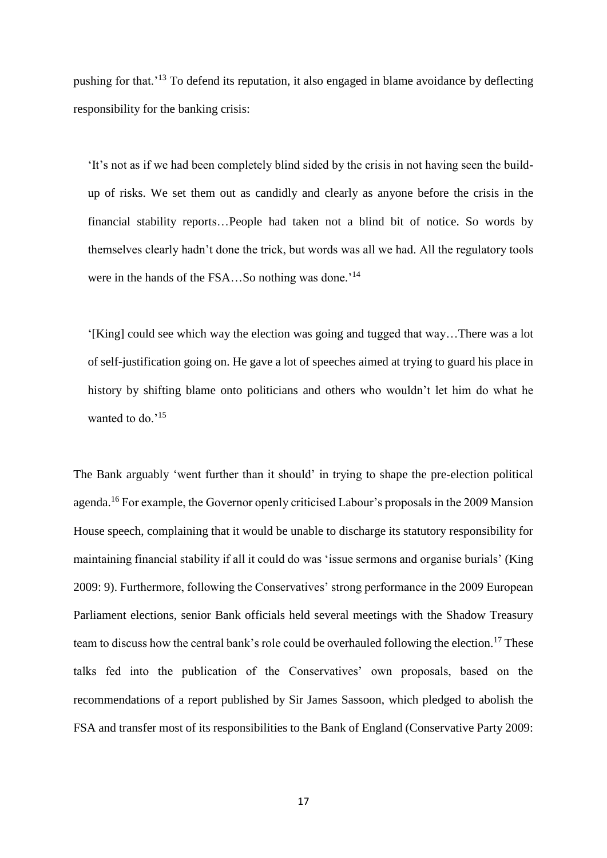pushing for that.'<sup>13</sup> To defend its reputation, it also engaged in blame avoidance by deflecting responsibility for the banking crisis:

'It's not as if we had been completely blind sided by the crisis in not having seen the buildup of risks. We set them out as candidly and clearly as anyone before the crisis in the financial stability reports…People had taken not a blind bit of notice. So words by themselves clearly hadn't done the trick, but words was all we had. All the regulatory tools were in the hands of the FSA…So nothing was done.'<sup>14</sup>

'[King] could see which way the election was going and tugged that way…There was a lot of self-justification going on. He gave a lot of speeches aimed at trying to guard his place in history by shifting blame onto politicians and others who wouldn't let him do what he wanted to do.'<sup>15</sup>

The Bank arguably 'went further than it should' in trying to shape the pre-election political agenda.<sup>16</sup> For example, the Governor openly criticised Labour's proposals in the 2009 Mansion House speech, complaining that it would be unable to discharge its statutory responsibility for maintaining financial stability if all it could do was 'issue sermons and organise burials' (King 2009: 9). Furthermore, following the Conservatives' strong performance in the 2009 European Parliament elections, senior Bank officials held several meetings with the Shadow Treasury team to discuss how the central bank's role could be overhauled following the election.<sup>17</sup> These talks fed into the publication of the Conservatives' own proposals, based on the recommendations of a report published by Sir James Sassoon, which pledged to abolish the FSA and transfer most of its responsibilities to the Bank of England (Conservative Party 2009: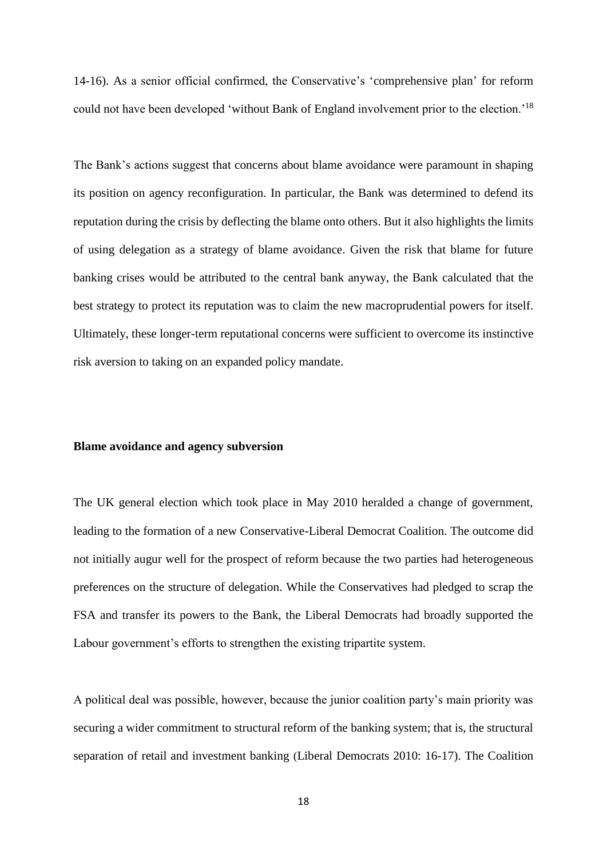14-16). As a senior official confirmed, the Conservative's 'comprehensive plan' for reform could not have been developed 'without Bank of England involvement prior to the election.<sup>18</sup>

The Bank's actions suggest that concerns about blame avoidance were paramount in shaping its position on agency reconfiguration. In particular, the Bank was determined to defend its reputation during the crisis by deflecting the blame onto others. But it also highlights the limits of using delegation as a strategy of blame avoidance. Given the risk that blame for future banking crises would be attributed to the central bank anyway, the Bank calculated that the best strategy to protect its reputation was to claim the new macroprudential powers for itself. Ultimately, these longer-term reputational concerns were sufficient to overcome its instinctive risk aversion to taking on an expanded policy mandate.

#### **Blame avoidance and agency subversion**

The UK general election which took place in May 2010 heralded a change of government, leading to the formation of a new Conservative-Liberal Democrat Coalition. The outcome did not initially augur well for the prospect of reform because the two parties had heterogeneous preferences on the structure of delegation. While the Conservatives had pledged to scrap the FSA and transfer its powers to the Bank, the Liberal Democrats had broadly supported the Labour government's efforts to strengthen the existing tripartite system.

A political deal was possible, however, because the junior coalition party's main priority was securing a wider commitment to structural reform of the banking system; that is, the structural separation of retail and investment banking (Liberal Democrats 2010: 16-17). The Coalition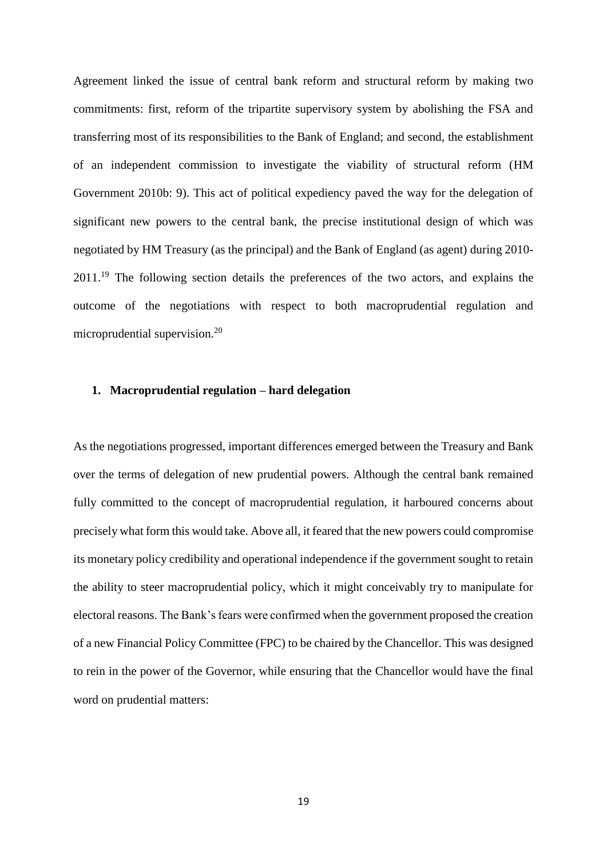Agreement linked the issue of central bank reform and structural reform by making two commitments: first, reform of the tripartite supervisory system by abolishing the FSA and transferring most of its responsibilities to the Bank of England; and second, the establishment of an independent commission to investigate the viability of structural reform (HM Government 2010b: 9). This act of political expediency paved the way for the delegation of significant new powers to the central bank, the precise institutional design of which was negotiated by HM Treasury (as the principal) and the Bank of England (as agent) during 2010- 2011.<sup>19</sup> The following section details the preferences of the two actors, and explains the outcome of the negotiations with respect to both macroprudential regulation and microprudential supervision.<sup>20</sup>

### **1. Macroprudential regulation – hard delegation**

As the negotiations progressed, important differences emerged between the Treasury and Bank over the terms of delegation of new prudential powers. Although the central bank remained fully committed to the concept of macroprudential regulation, it harboured concerns about precisely what form this would take. Above all, it feared that the new powers could compromise its monetary policy credibility and operational independence if the government sought to retain the ability to steer macroprudential policy, which it might conceivably try to manipulate for electoral reasons. The Bank's fears were confirmed when the government proposed the creation of a new Financial Policy Committee (FPC) to be chaired by the Chancellor. This was designed to rein in the power of the Governor, while ensuring that the Chancellor would have the final word on prudential matters: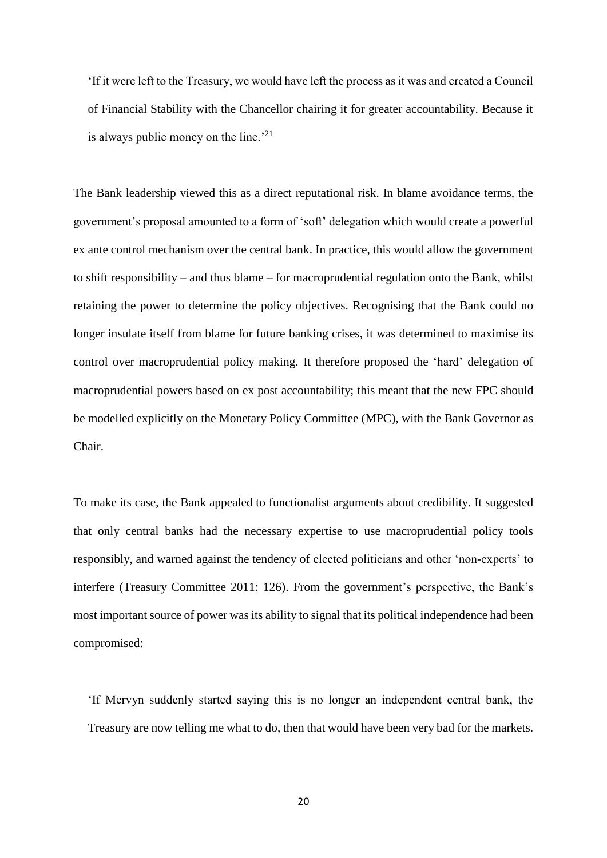'If it were left to the Treasury, we would have left the process as it was and created a Council of Financial Stability with the Chancellor chairing it for greater accountability. Because it is always public money on the line.<sup>'21</sup>

The Bank leadership viewed this as a direct reputational risk. In blame avoidance terms, the government's proposal amounted to a form of 'soft' delegation which would create a powerful ex ante control mechanism over the central bank. In practice, this would allow the government to shift responsibility – and thus blame – for macroprudential regulation onto the Bank, whilst retaining the power to determine the policy objectives. Recognising that the Bank could no longer insulate itself from blame for future banking crises, it was determined to maximise its control over macroprudential policy making. It therefore proposed the 'hard' delegation of macroprudential powers based on ex post accountability; this meant that the new FPC should be modelled explicitly on the Monetary Policy Committee (MPC), with the Bank Governor as Chair.

To make its case, the Bank appealed to functionalist arguments about credibility. It suggested that only central banks had the necessary expertise to use macroprudential policy tools responsibly, and warned against the tendency of elected politicians and other 'non-experts' to interfere (Treasury Committee 2011: 126). From the government's perspective, the Bank's most important source of power was its ability to signal that its political independence had been compromised:

'If Mervyn suddenly started saying this is no longer an independent central bank, the Treasury are now telling me what to do, then that would have been very bad for the markets.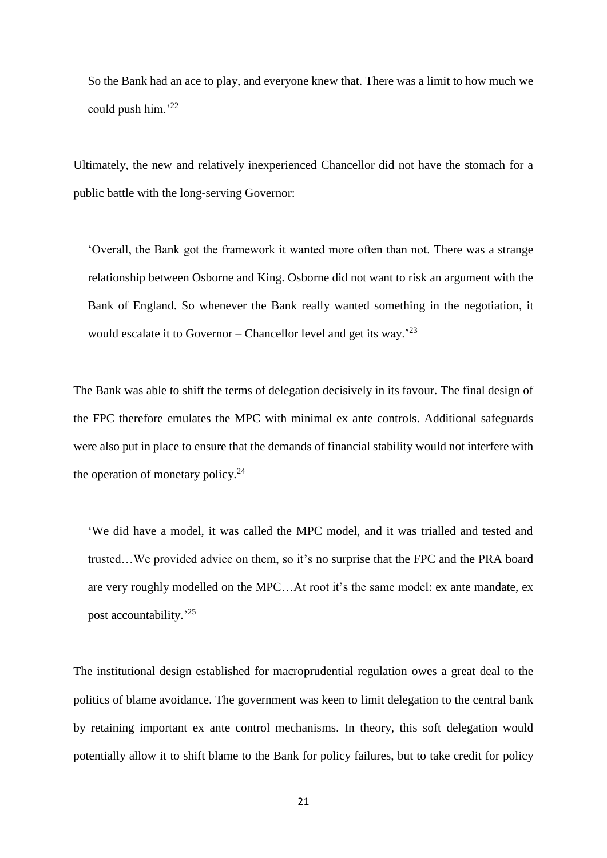So the Bank had an ace to play, and everyone knew that. There was a limit to how much we could push him.'<sup>22</sup>

Ultimately, the new and relatively inexperienced Chancellor did not have the stomach for a public battle with the long-serving Governor:

'Overall, the Bank got the framework it wanted more often than not. There was a strange relationship between Osborne and King. Osborne did not want to risk an argument with the Bank of England. So whenever the Bank really wanted something in the negotiation, it would escalate it to Governor – Chancellor level and get its way.<sup>23</sup>

The Bank was able to shift the terms of delegation decisively in its favour. The final design of the FPC therefore emulates the MPC with minimal ex ante controls. Additional safeguards were also put in place to ensure that the demands of financial stability would not interfere with the operation of monetary policy. $24$ 

'We did have a model, it was called the MPC model, and it was trialled and tested and trusted…We provided advice on them, so it's no surprise that the FPC and the PRA board are very roughly modelled on the MPC…At root it's the same model: ex ante mandate, ex post accountability.<sup>'25</sup>

The institutional design established for macroprudential regulation owes a great deal to the politics of blame avoidance. The government was keen to limit delegation to the central bank by retaining important ex ante control mechanisms. In theory, this soft delegation would potentially allow it to shift blame to the Bank for policy failures, but to take credit for policy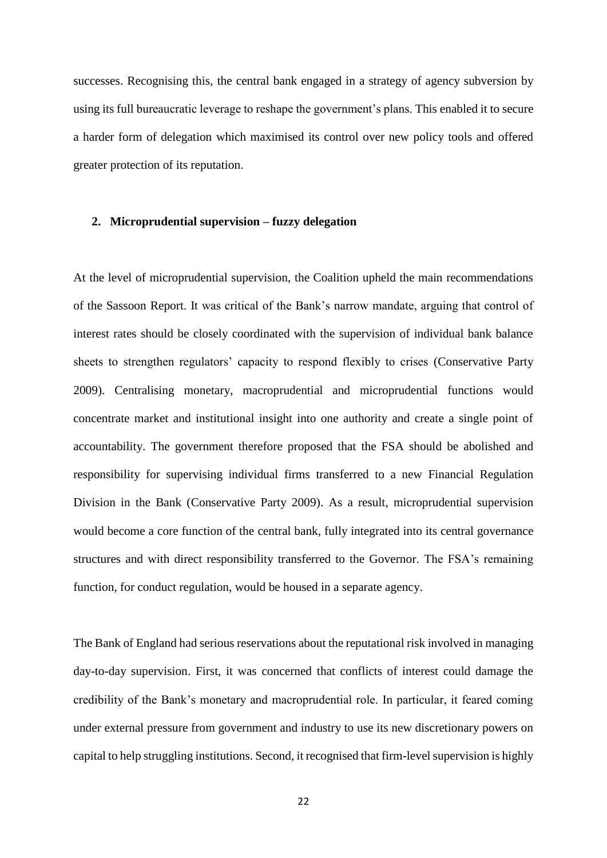successes. Recognising this, the central bank engaged in a strategy of agency subversion by using its full bureaucratic leverage to reshape the government's plans. This enabled it to secure a harder form of delegation which maximised its control over new policy tools and offered greater protection of its reputation.

# **2. Microprudential supervision – fuzzy delegation**

At the level of microprudential supervision, the Coalition upheld the main recommendations of the Sassoon Report. It was critical of the Bank's narrow mandate, arguing that control of interest rates should be closely coordinated with the supervision of individual bank balance sheets to strengthen regulators' capacity to respond flexibly to crises (Conservative Party 2009). Centralising monetary, macroprudential and microprudential functions would concentrate market and institutional insight into one authority and create a single point of accountability. The government therefore proposed that the FSA should be abolished and responsibility for supervising individual firms transferred to a new Financial Regulation Division in the Bank (Conservative Party 2009). As a result, microprudential supervision would become a core function of the central bank, fully integrated into its central governance structures and with direct responsibility transferred to the Governor. The FSA's remaining function, for conduct regulation, would be housed in a separate agency.

The Bank of England had serious reservations about the reputational risk involved in managing day-to-day supervision. First, it was concerned that conflicts of interest could damage the credibility of the Bank's monetary and macroprudential role. In particular, it feared coming under external pressure from government and industry to use its new discretionary powers on capital to help struggling institutions. Second, it recognised that firm-level supervision is highly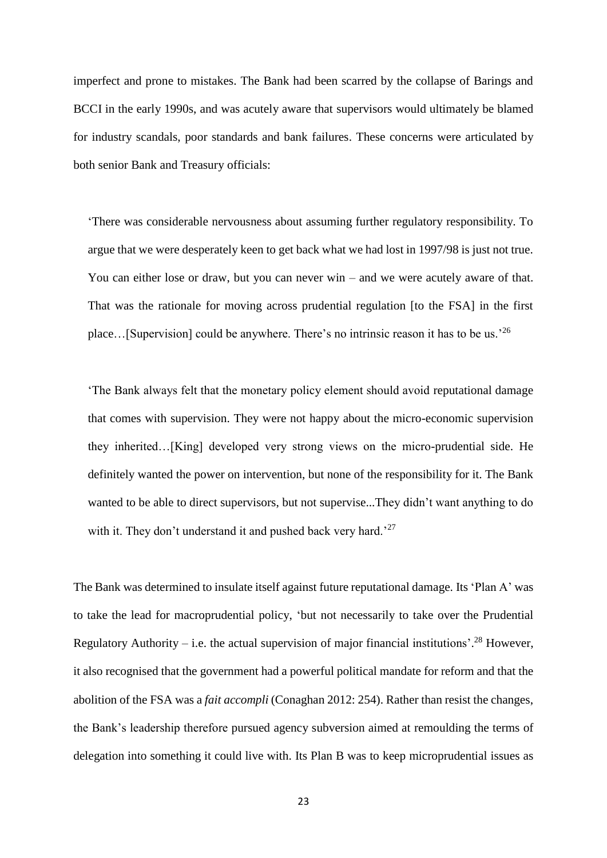imperfect and prone to mistakes. The Bank had been scarred by the collapse of Barings and BCCI in the early 1990s, and was acutely aware that supervisors would ultimately be blamed for industry scandals, poor standards and bank failures. These concerns were articulated by both senior Bank and Treasury officials:

'There was considerable nervousness about assuming further regulatory responsibility. To argue that we were desperately keen to get back what we had lost in 1997/98 is just not true. You can either lose or draw, but you can never win – and we were acutely aware of that. That was the rationale for moving across prudential regulation [to the FSA] in the first place...[Supervision] could be anywhere. There's no intrinsic reason it has to be us.<sup>'26</sup>

'The Bank always felt that the monetary policy element should avoid reputational damage that comes with supervision. They were not happy about the micro-economic supervision they inherited…[King] developed very strong views on the micro-prudential side. He definitely wanted the power on intervention, but none of the responsibility for it. The Bank wanted to be able to direct supervisors, but not supervise...They didn't want anything to do with it. They don't understand it and pushed back very hard.<sup>27</sup>

The Bank was determined to insulate itself against future reputational damage. Its 'Plan A' was to take the lead for macroprudential policy, 'but not necessarily to take over the Prudential Regulatory Authority – i.e. the actual supervision of major financial institutions'.<sup>28</sup> However, it also recognised that the government had a powerful political mandate for reform and that the abolition of the FSA was a *fait accompli* (Conaghan 2012: 254). Rather than resist the changes, the Bank's leadership therefore pursued agency subversion aimed at remoulding the terms of delegation into something it could live with. Its Plan B was to keep microprudential issues as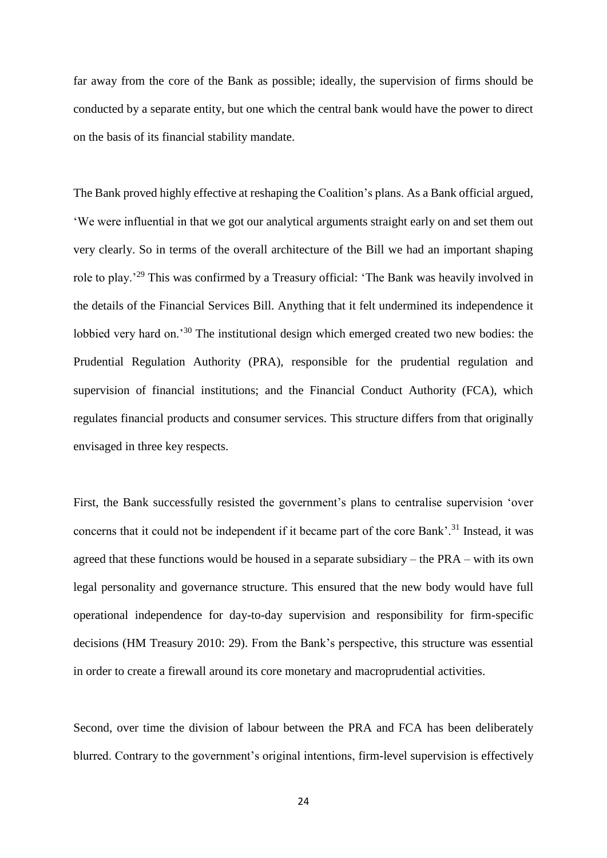far away from the core of the Bank as possible; ideally, the supervision of firms should be conducted by a separate entity, but one which the central bank would have the power to direct on the basis of its financial stability mandate.

The Bank proved highly effective at reshaping the Coalition's plans. As a Bank official argued, 'We were influential in that we got our analytical arguments straight early on and set them out very clearly. So in terms of the overall architecture of the Bill we had an important shaping role to play.'<sup>29</sup> This was confirmed by a Treasury official: 'The Bank was heavily involved in the details of the Financial Services Bill. Anything that it felt undermined its independence it lobbied very hard on.<sup>30</sup> The institutional design which emerged created two new bodies: the Prudential Regulation Authority (PRA), responsible for the prudential regulation and supervision of financial institutions; and the Financial Conduct Authority (FCA), which regulates financial products and consumer services. This structure differs from that originally envisaged in three key respects.

First, the Bank successfully resisted the government's plans to centralise supervision 'over concerns that it could not be independent if it became part of the core Bank'.<sup>31</sup> Instead, it was agreed that these functions would be housed in a separate subsidiary – the PRA – with its own legal personality and governance structure. This ensured that the new body would have full operational independence for day-to-day supervision and responsibility for firm-specific decisions (HM Treasury 2010: 29). From the Bank's perspective, this structure was essential in order to create a firewall around its core monetary and macroprudential activities.

Second, over time the division of labour between the PRA and FCA has been deliberately blurred. Contrary to the government's original intentions, firm-level supervision is effectively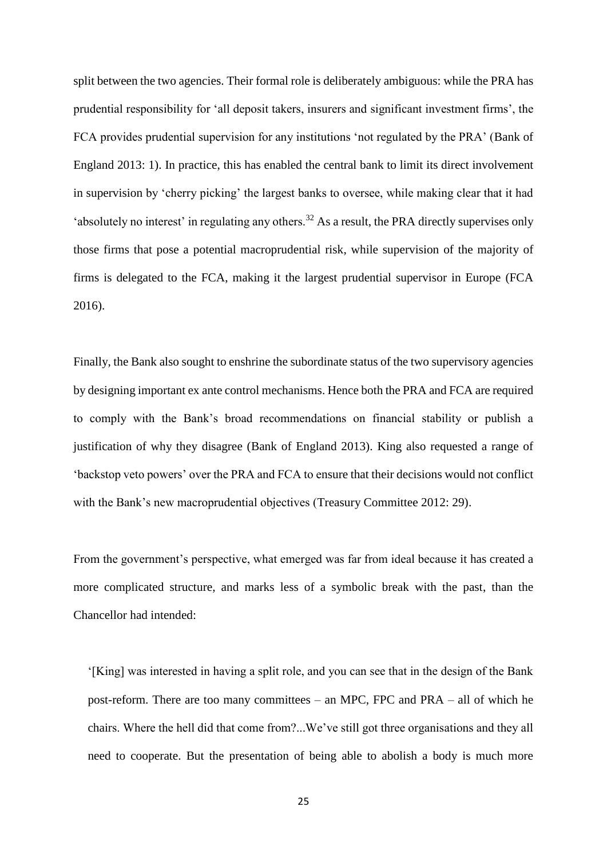split between the two agencies. Their formal role is deliberately ambiguous: while the PRA has prudential responsibility for 'all deposit takers, insurers and significant investment firms', the FCA provides prudential supervision for any institutions 'not regulated by the PRA' (Bank of England 2013: 1). In practice, this has enabled the central bank to limit its direct involvement in supervision by 'cherry picking' the largest banks to oversee, while making clear that it had 'absolutely no interest' in regulating any others.<sup>32</sup> As a result, the PRA directly supervises only those firms that pose a potential macroprudential risk, while supervision of the majority of firms is delegated to the FCA, making it the largest prudential supervisor in Europe (FCA 2016).

Finally, the Bank also sought to enshrine the subordinate status of the two supervisory agencies by designing important ex ante control mechanisms. Hence both the PRA and FCA are required to comply with the Bank's broad recommendations on financial stability or publish a justification of why they disagree (Bank of England 2013). King also requested a range of 'backstop veto powers' over the PRA and FCA to ensure that their decisions would not conflict with the Bank's new macroprudential objectives (Treasury Committee 2012: 29).

From the government's perspective, what emerged was far from ideal because it has created a more complicated structure, and marks less of a symbolic break with the past, than the Chancellor had intended:

'[King] was interested in having a split role, and you can see that in the design of the Bank post-reform. There are too many committees – an MPC, FPC and PRA – all of which he chairs. Where the hell did that come from?...We've still got three organisations and they all need to cooperate. But the presentation of being able to abolish a body is much more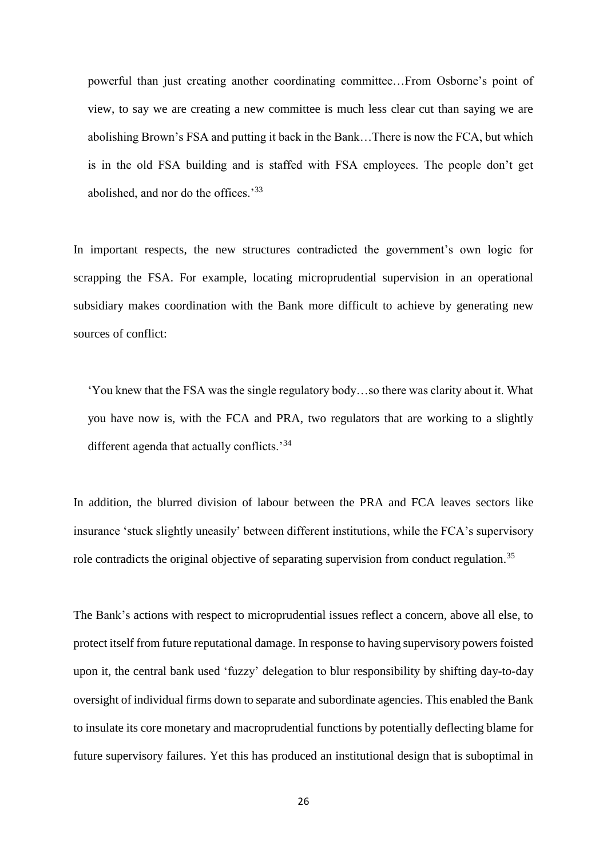powerful than just creating another coordinating committee…From Osborne's point of view, to say we are creating a new committee is much less clear cut than saying we are abolishing Brown's FSA and putting it back in the Bank…There is now the FCA, but which is in the old FSA building and is staffed with FSA employees. The people don't get abolished, and nor do the offices.'<sup>33</sup>

In important respects, the new structures contradicted the government's own logic for scrapping the FSA. For example, locating microprudential supervision in an operational subsidiary makes coordination with the Bank more difficult to achieve by generating new sources of conflict:

'You knew that the FSA was the single regulatory body…so there was clarity about it. What you have now is, with the FCA and PRA, two regulators that are working to a slightly different agenda that actually conflicts.<sup>34</sup>

In addition, the blurred division of labour between the PRA and FCA leaves sectors like insurance 'stuck slightly uneasily' between different institutions, while the FCA's supervisory role contradicts the original objective of separating supervision from conduct regulation.<sup>35</sup>

The Bank's actions with respect to microprudential issues reflect a concern, above all else, to protect itself from future reputational damage. In response to having supervisory powers foisted upon it, the central bank used 'fuzzy' delegation to blur responsibility by shifting day-to-day oversight of individual firms down to separate and subordinate agencies. This enabled the Bank to insulate its core monetary and macroprudential functions by potentially deflecting blame for future supervisory failures. Yet this has produced an institutional design that is suboptimal in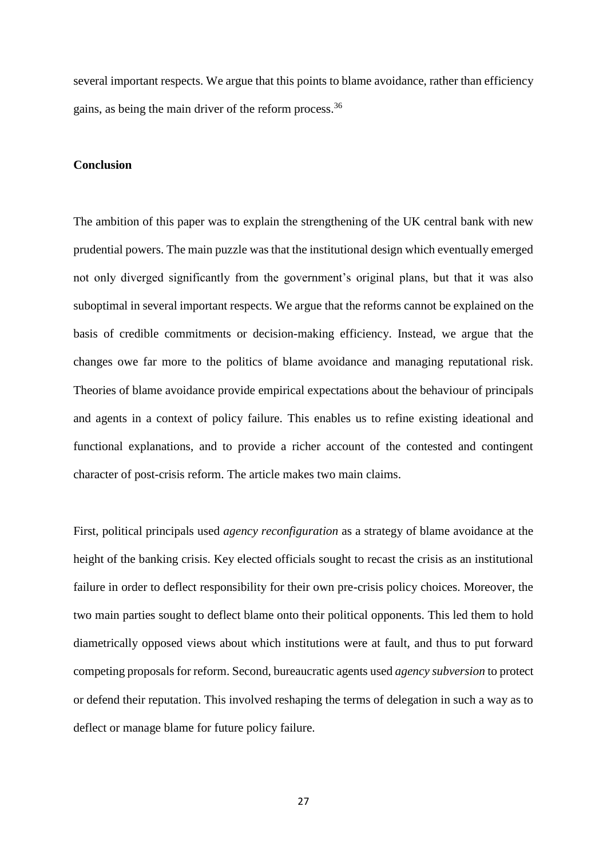several important respects. We argue that this points to blame avoidance, rather than efficiency gains, as being the main driver of the reform process.<sup>36</sup>

# **Conclusion**

The ambition of this paper was to explain the strengthening of the UK central bank with new prudential powers. The main puzzle was that the institutional design which eventually emerged not only diverged significantly from the government's original plans, but that it was also suboptimal in several important respects. We argue that the reforms cannot be explained on the basis of credible commitments or decision-making efficiency. Instead, we argue that the changes owe far more to the politics of blame avoidance and managing reputational risk. Theories of blame avoidance provide empirical expectations about the behaviour of principals and agents in a context of policy failure. This enables us to refine existing ideational and functional explanations, and to provide a richer account of the contested and contingent character of post-crisis reform. The article makes two main claims.

First, political principals used *agency reconfiguration* as a strategy of blame avoidance at the height of the banking crisis. Key elected officials sought to recast the crisis as an institutional failure in order to deflect responsibility for their own pre-crisis policy choices. Moreover, the two main parties sought to deflect blame onto their political opponents. This led them to hold diametrically opposed views about which institutions were at fault, and thus to put forward competing proposals for reform. Second, bureaucratic agents used *agency subversion* to protect or defend their reputation. This involved reshaping the terms of delegation in such a way as to deflect or manage blame for future policy failure.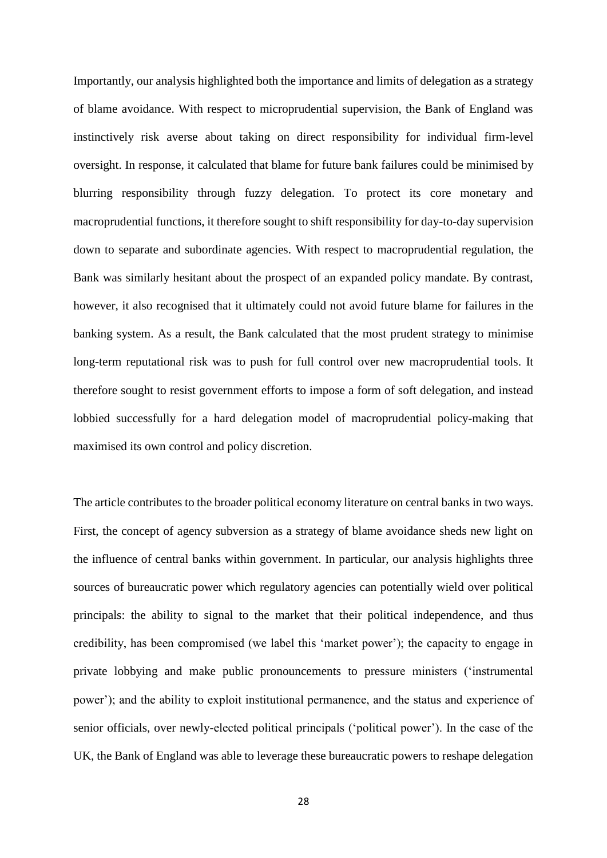Importantly, our analysis highlighted both the importance and limits of delegation as a strategy of blame avoidance. With respect to microprudential supervision, the Bank of England was instinctively risk averse about taking on direct responsibility for individual firm-level oversight. In response, it calculated that blame for future bank failures could be minimised by blurring responsibility through fuzzy delegation. To protect its core monetary and macroprudential functions, it therefore sought to shift responsibility for day-to-day supervision down to separate and subordinate agencies. With respect to macroprudential regulation, the Bank was similarly hesitant about the prospect of an expanded policy mandate. By contrast, however, it also recognised that it ultimately could not avoid future blame for failures in the banking system. As a result, the Bank calculated that the most prudent strategy to minimise long-term reputational risk was to push for full control over new macroprudential tools. It therefore sought to resist government efforts to impose a form of soft delegation, and instead lobbied successfully for a hard delegation model of macroprudential policy-making that maximised its own control and policy discretion.

The article contributes to the broader political economy literature on central banks in two ways. First, the concept of agency subversion as a strategy of blame avoidance sheds new light on the influence of central banks within government. In particular, our analysis highlights three sources of bureaucratic power which regulatory agencies can potentially wield over political principals: the ability to signal to the market that their political independence, and thus credibility, has been compromised (we label this 'market power'); the capacity to engage in private lobbying and make public pronouncements to pressure ministers ('instrumental power'); and the ability to exploit institutional permanence, and the status and experience of senior officials, over newly-elected political principals ('political power'). In the case of the UK, the Bank of England was able to leverage these bureaucratic powers to reshape delegation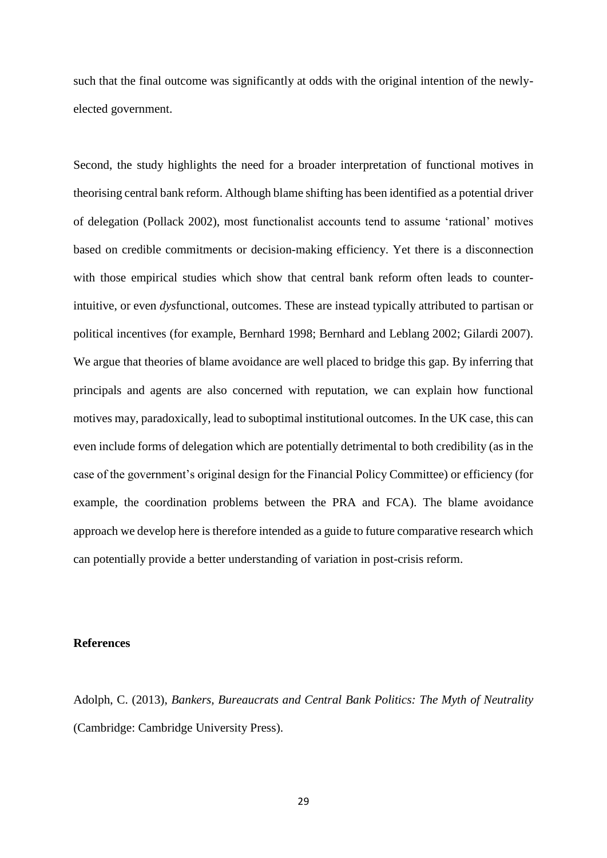such that the final outcome was significantly at odds with the original intention of the newlyelected government.

Second, the study highlights the need for a broader interpretation of functional motives in theorising central bank reform. Although blame shifting has been identified as a potential driver of delegation (Pollack 2002), most functionalist accounts tend to assume 'rational' motives based on credible commitments or decision-making efficiency. Yet there is a disconnection with those empirical studies which show that central bank reform often leads to counterintuitive, or even *dys*functional, outcomes. These are instead typically attributed to partisan or political incentives (for example, Bernhard 1998; Bernhard and Leblang 2002; Gilardi 2007). We argue that theories of blame avoidance are well placed to bridge this gap. By inferring that principals and agents are also concerned with reputation, we can explain how functional motives may, paradoxically, lead to suboptimal institutional outcomes. In the UK case, this can even include forms of delegation which are potentially detrimental to both credibility (as in the case of the government's original design for the Financial Policy Committee) or efficiency (for example, the coordination problems between the PRA and FCA). The blame avoidance approach we develop here is therefore intended as a guide to future comparative research which can potentially provide a better understanding of variation in post-crisis reform.

# **References**

Adolph, C. (2013), *Bankers, Bureaucrats and Central Bank Politics: The Myth of Neutrality* (Cambridge: Cambridge University Press).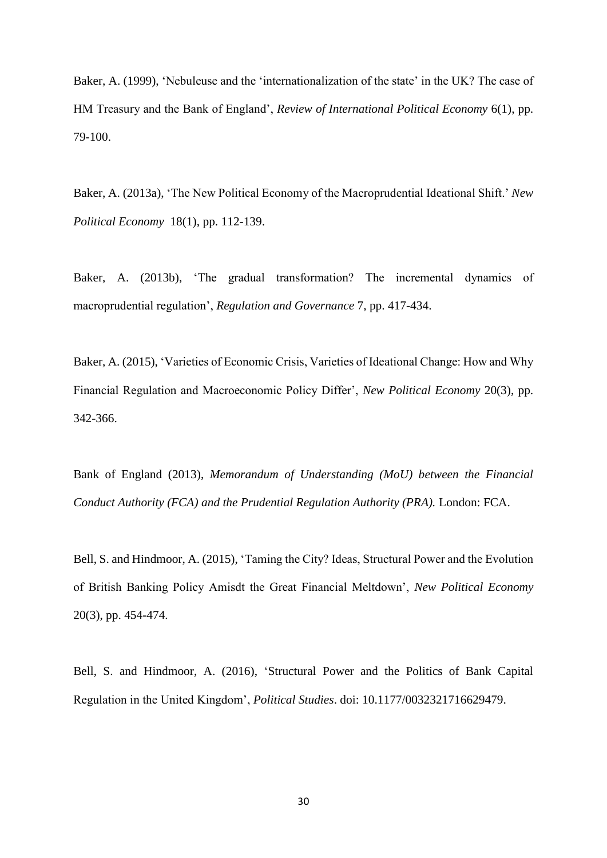Baker, A. (1999), 'Nebuleuse and the 'internationalization of the state' in the UK? The case of HM Treasury and the Bank of England', *Review of International Political Economy* 6(1), pp. 79-100.

Baker, A. (2013a), 'The New Political Economy of the Macroprudential Ideational Shift.' *New Political Economy* 18(1), pp. 112-139.

Baker, A. (2013b), 'The gradual transformation? The incremental dynamics of macroprudential regulation', *Regulation and Governance* 7, pp. 417-434.

Baker, A. (2015), 'Varieties of Economic Crisis, Varieties of Ideational Change: How and Why Financial Regulation and Macroeconomic Policy Differ', *New Political Economy* 20(3), pp. 342-366.

Bank of England (2013), *Memorandum of Understanding (MoU) between the Financial Conduct Authority (FCA) and the Prudential Regulation Authority (PRA).* London: FCA.

Bell, S. and Hindmoor, A. (2015), 'Taming the City? Ideas, Structural Power and the Evolution of British Banking Policy Amisdt the Great Financial Meltdown', *New Political Economy* 20(3), pp. 454-474.

Bell, S. and Hindmoor, A. (2016), 'Structural Power and the Politics of Bank Capital Regulation in the United Kingdom', *Political Studies*. doi: 10.1177/0032321716629479.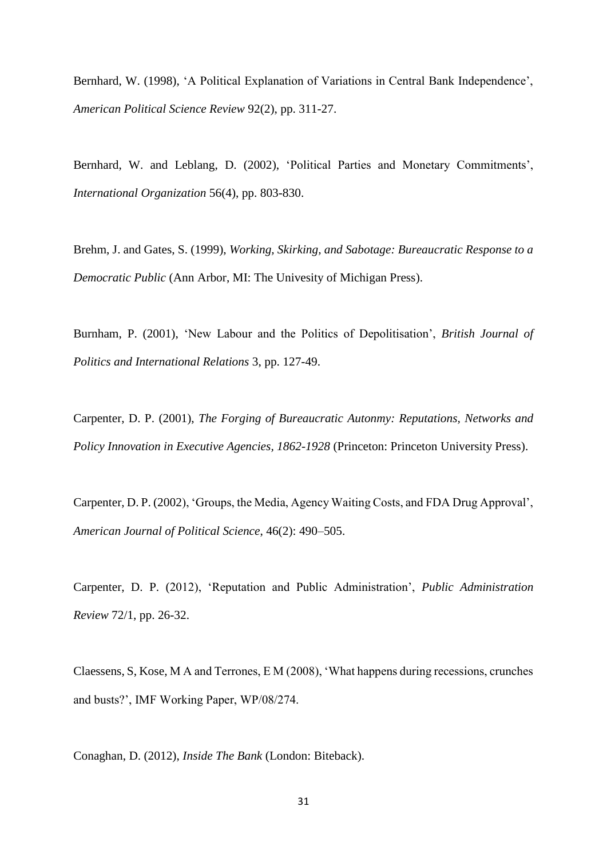Bernhard, W. (1998), 'A Political Explanation of Variations in Central Bank Independence', *American Political Science Review* 92(2), pp. 311-27.

Bernhard, W. and Leblang, D. (2002), 'Political Parties and Monetary Commitments', *International Organization* 56(4), pp. 803-830.

Brehm, J. and Gates, S. (1999), *Working, Skirking, and Sabotage: Bureaucratic Response to a Democratic Public* (Ann Arbor, MI: The Univesity of Michigan Press).

Burnham, P. (2001), 'New Labour and the Politics of Depolitisation', *British Journal of Politics and International Relations* 3, pp. 127-49.

Carpenter, D. P. (2001), *The Forging of Bureaucratic Autonmy: Reputations, Networks and Policy Innovation in Executive Agencies, 1862-1928* (Princeton: Princeton University Press).

Carpenter, D. P. (2002), 'Groups, the Media, Agency Waiting Costs, and FDA Drug Approval', *American Journal of Political Science*, 46(2): 490–505.

Carpenter, D. P. (2012), 'Reputation and Public Administration', *Public Administration Review* 72/1, pp. 26-32.

Claessens, S, Kose, M A and Terrones, E M (2008), 'What happens during recessions, crunches and busts?', IMF Working Paper, WP/08/274.

Conaghan, D. (2012), *Inside The Bank* (London: Biteback).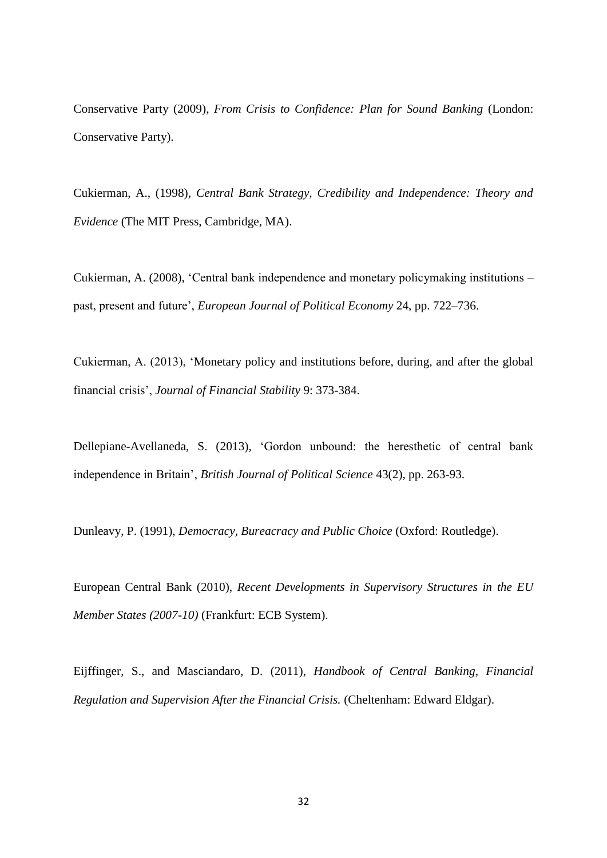Conservative Party (2009), *From Crisis to Confidence: Plan for Sound Banking* (London: Conservative Party).

Cukierman, A., (1998), *Central Bank Strategy, Credibility and Independence: Theory and Evidence* (The MIT Press, Cambridge, MA).

Cukierman, A. (2008), 'Central bank independence and monetary policymaking institutions – past, present and future', *European Journal of Political Economy* 24, pp. 722–736.

Cukierman, A. (2013), 'Monetary policy and institutions before, during, and after the global financial crisis', *Journal of Financial Stability* 9: 373-384.

Dellepiane-Avellaneda, S. (2013), 'Gordon unbound: the heresthetic of central bank independence in Britain', *British Journal of Political Science* 43(2), pp. 263-93.

Dunleavy, P. (1991), *Democracy, Bureacracy and Public Choice* (Oxford: Routledge).

European Central Bank (2010), *Recent Developments in Supervisory Structures in the EU Member States (2007-10)* (Frankfurt: ECB System).

Eijffinger, S., and Masciandaro, D. (2011), *Handbook of Central Banking, Financial Regulation and Supervision After the Financial Crisis.* (Cheltenham: Edward Eldgar).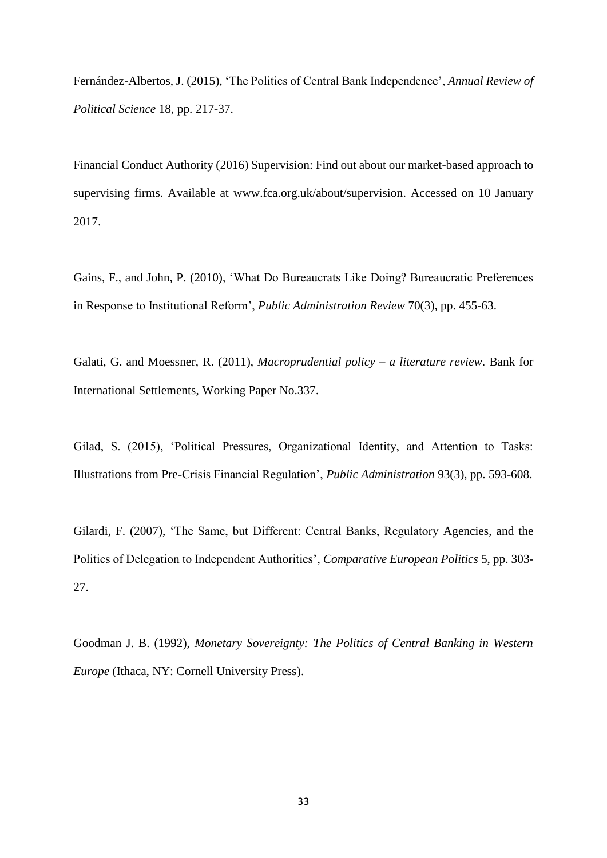Fernández-Albertos, J. (2015), 'The Politics of Central Bank Independence', *Annual Review of Political Science* 18, pp. 217-37.

Financial Conduct Authority (2016) Supervision: Find out about our market-based approach to supervising firms. Available at www.fca.org.uk/about/supervision. Accessed on 10 January 2017.

Gains, F., and John, P. (2010), 'What Do Bureaucrats Like Doing? Bureaucratic Preferences in Response to Institutional Reform', *Public Administration Review* 70(3), pp. 455-63.

Galati, G. and Moessner, R. (2011), *Macroprudential policy – a literature review*. Bank for International Settlements, Working Paper No.337.

Gilad, S. (2015), 'Political Pressures, Organizational Identity, and Attention to Tasks: Illustrations from Pre-Crisis Financial Regulation', *Public Administration* 93(3), pp. 593-608.

Gilardi, F. (2007), 'The Same, but Different: Central Banks, Regulatory Agencies, and the Politics of Delegation to Independent Authorities', *Comparative European Politics* 5, pp. 303- 27.

Goodman J. B. (1992), *Monetary Sovereignty: The Politics of Central Banking in Western Europe* (Ithaca, NY: Cornell University Press).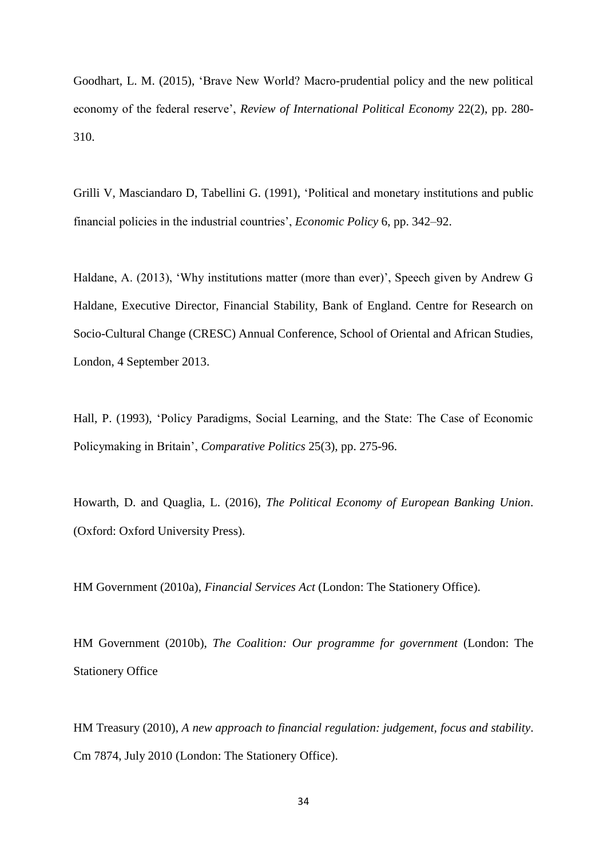Goodhart, L. M. (2015), 'Brave New World? Macro-prudential policy and the new political economy of the federal reserve', *Review of International Political Economy* 22(2), pp. 280- 310.

Grilli V, Masciandaro D, Tabellini G. (1991), 'Political and monetary institutions and public financial policies in the industrial countries', *Economic Policy* 6, pp. 342–92.

Haldane, A. (2013), 'Why institutions matter (more than ever)', Speech given by Andrew G Haldane, Executive Director, Financial Stability, Bank of England. Centre for Research on Socio-Cultural Change (CRESC) Annual Conference, School of Oriental and African Studies, London, 4 September 2013.

Hall, P. (1993), 'Policy Paradigms, Social Learning, and the State: The Case of Economic Policymaking in Britain', *Comparative Politics* 25(3), pp. 275-96.

Howarth, D. and Quaglia, L. (2016), *The Political Economy of European Banking Union*. (Oxford: Oxford University Press).

HM Government (2010a), *Financial Services Act* (London: The Stationery Office).

HM Government (2010b), *The Coalition: Our programme for government* (London: The Stationery Office

HM Treasury (2010), *A new approach to financial regulation: judgement, focus and stability*. Cm 7874, July 2010 (London: The Stationery Office).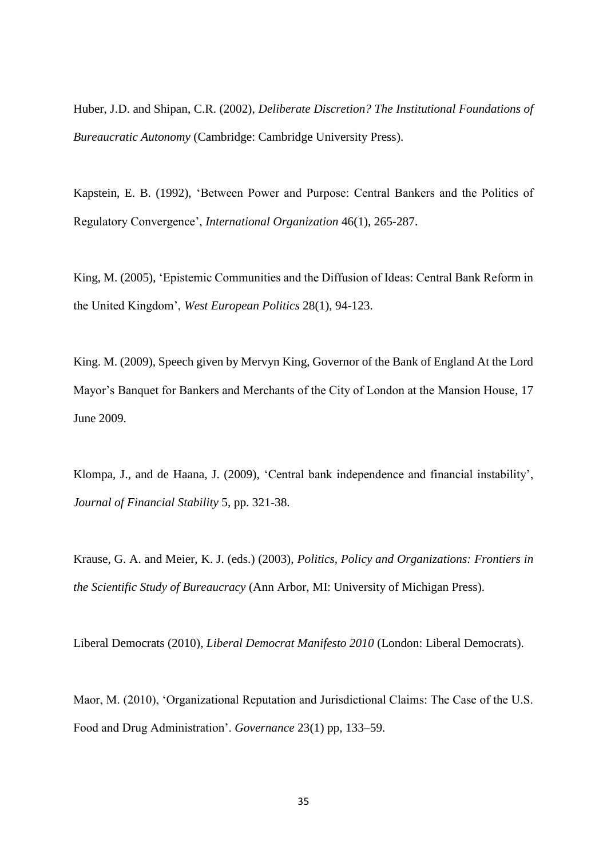Huber, J.D. and Shipan, C.R. (2002), *Deliberate Discretion? The Institutional Foundations of Bureaucratic Autonomy* (Cambridge: Cambridge University Press).

Kapstein, E. B. (1992), 'Between Power and Purpose: Central Bankers and the Politics of Regulatory Convergence', *International Organization* 46(1), 265-287.

King, M. (2005), 'Epistemic Communities and the Diffusion of Ideas: Central Bank Reform in the United Kingdom', *West European Politics* 28(1), 94-123.

King. M. (2009), Speech given by Mervyn King, Governor of the Bank of England At the Lord Mayor's Banquet for Bankers and Merchants of the City of London at the Mansion House, 17 June 2009.

Klompa, J., and de Haana, J. (2009), 'Central bank independence and financial instability', *Journal of Financial Stability* 5, pp. 321-38.

Krause, G. A. and Meier, K. J. (eds.) (2003), *Politics, Policy and Organizations: Frontiers in the Scientific Study of Bureaucracy* (Ann Arbor, MI: University of Michigan Press).

Liberal Democrats (2010), *Liberal Democrat Manifesto 2010* (London: Liberal Democrats).

Maor, M. (2010), 'Organizational Reputation and Jurisdictional Claims: The Case of the U.S. Food and Drug Administration'. *Governance* 23(1) pp, 133–59.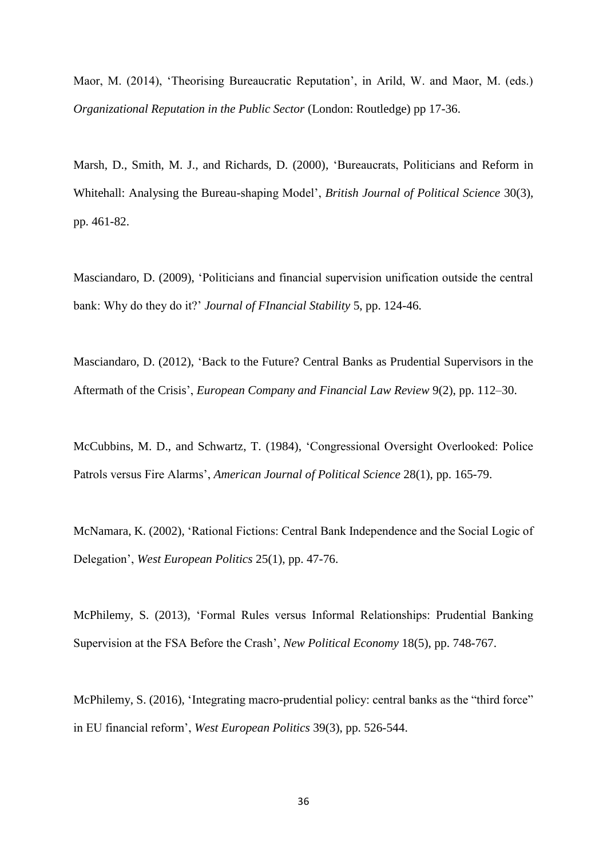Maor, M. (2014), 'Theorising Bureaucratic Reputation', in Arild, W. and Maor, M. (eds.) *Organizational Reputation in the Public Sector* (London: Routledge) pp 17-36.

Marsh, D., Smith, M. J., and Richards, D. (2000), 'Bureaucrats, Politicians and Reform in Whitehall: Analysing the Bureau-shaping Model', *British Journal of Political Science* 30(3), pp. 461-82.

Masciandaro, D. (2009), 'Politicians and financial supervision unification outside the central bank: Why do they do it?' *Journal of FInancial Stability* 5, pp. 124-46.

Masciandaro, D. (2012), 'Back to the Future? Central Banks as Prudential Supervisors in the Aftermath of the Crisis', *European Company and Financial Law Review* 9(2), pp. 112–30.

McCubbins, M. D., and Schwartz, T. (1984), 'Congressional Oversight Overlooked: Police Patrols versus Fire Alarms', *American Journal of Political Science* 28(1), pp. 165-79.

McNamara, K. (2002), 'Rational Fictions: Central Bank Independence and the Social Logic of Delegation', *West European Politics* 25(1), pp. 47-76.

McPhilemy, S. (2013), 'Formal Rules versus Informal Relationships: Prudential Banking Supervision at the FSA Before the Crash', *New Political Economy* 18(5), pp. 748-767.

McPhilemy, S. (2016), 'Integrating macro-prudential policy: central banks as the "third force" in EU financial reform', *West European Politics* 39(3), pp. 526-544.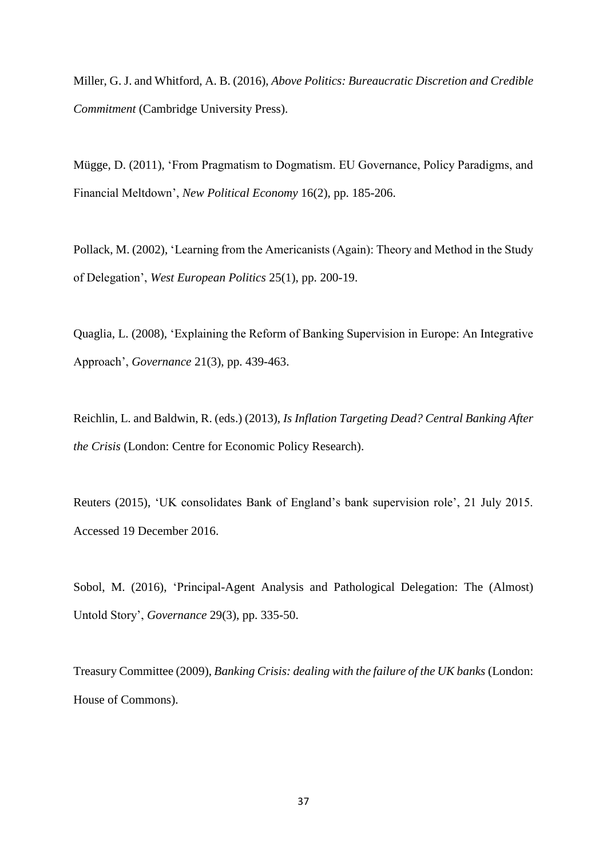Miller, G. J. and Whitford, A. B. (2016), *Above Politics: Bureaucratic Discretion and Credible Commitment* (Cambridge University Press).

Mügge, D. (2011), 'From Pragmatism to Dogmatism. EU Governance, Policy Paradigms, and Financial Meltdown', *New Political Economy* 16(2), pp. 185-206.

Pollack, M. (2002), 'Learning from the Americanists (Again): Theory and Method in the Study of Delegation', *West European Politics* 25(1), pp. 200-19.

Quaglia, L. (2008), 'Explaining the Reform of Banking Supervision in Europe: An Integrative Approach', *Governance* 21(3), pp. 439-463.

Reichlin, L. and Baldwin, R. (eds.) (2013), *Is Inflation Targeting Dead? Central Banking After the Crisis* (London: Centre for Economic Policy Research).

Reuters (2015), 'UK consolidates Bank of England's bank supervision role', 21 July 2015. Accessed 19 December 2016.

Sobol, M. (2016), 'Principal-Agent Analysis and Pathological Delegation: The (Almost) Untold Story', *Governance* 29(3), pp. 335-50.

Treasury Committee (2009), *Banking Crisis: dealing with the failure of the UK banks* (London: House of Commons).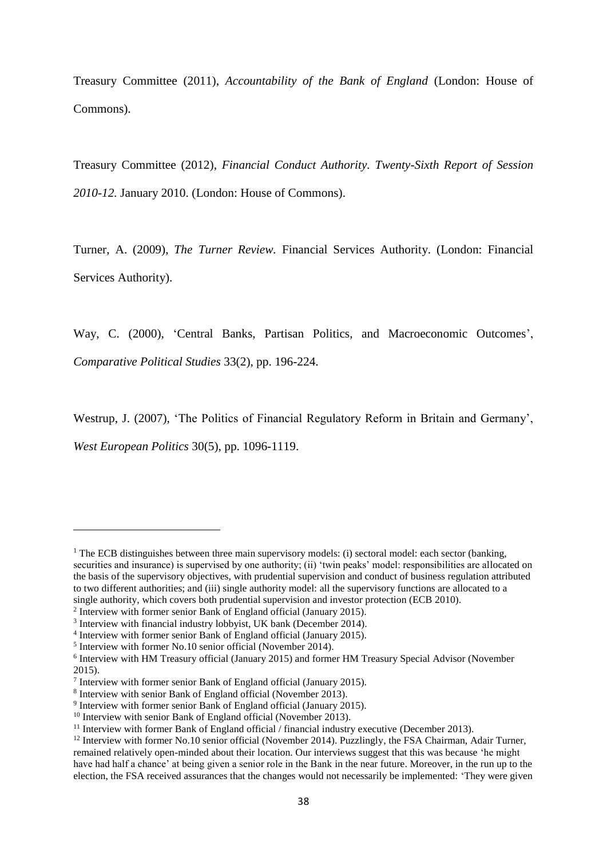Treasury Committee (2011), *Accountability of the Bank of England* (London: House of Commons).

Treasury Committee (2012), *Financial Conduct Authority. Twenty-Sixth Report of Session 2010-12.* January 2010. (London: House of Commons).

Turner, A. (2009), *The Turner Review.* Financial Services Authority. (London: Financial Services Authority).

Way, C. (2000), 'Central Banks, Partisan Politics, and Macroeconomic Outcomes', *Comparative Political Studies* 33(2), pp. 196-224.

Westrup, J. (2007), 'The Politics of Financial Regulatory Reform in Britain and Germany', *West European Politics* 30(5), pp. 1096-1119.

**.** 

<sup>&</sup>lt;sup>1</sup> The ECB distinguishes between three main supervisory models: (i) sectoral model: each sector (banking, securities and insurance) is supervised by one authority; (ii) 'twin peaks' model: responsibilities are allocated on the basis of the supervisory objectives, with prudential supervision and conduct of business regulation attributed to two different authorities; and (iii) single authority model: all the supervisory functions are allocated to a single authority, which covers both prudential supervision and investor protection (ECB 2010).

<sup>&</sup>lt;sup>2</sup> Interview with former senior Bank of England official (January 2015).

<sup>&</sup>lt;sup>3</sup> Interview with financial industry lobbyist, UK bank (December 2014).

<sup>4</sup> Interview with former senior Bank of England official (January 2015).

<sup>&</sup>lt;sup>5</sup> Interview with former No.10 senior official (November 2014).

<sup>&</sup>lt;sup>6</sup> Interview with HM Treasury official (January 2015) and former HM Treasury Special Advisor (November 2015).

<sup>&</sup>lt;sup>7</sup> Interview with former senior Bank of England official (January 2015).

<sup>8</sup> Interview with senior Bank of England official (November 2013).

<sup>&</sup>lt;sup>9</sup> Interview with former senior Bank of England official (January 2015).

<sup>&</sup>lt;sup>10</sup> Interview with senior Bank of England official (November 2013).

<sup>&</sup>lt;sup>11</sup> Interview with former Bank of England official / financial industry executive (December 2013).

<sup>&</sup>lt;sup>12</sup> Interview with former No.10 senior official (November 2014). Puzzlingly, the FSA Chairman, Adair Turner, remained relatively open-minded about their location. Our interviews suggest that this was because 'he might have had half a chance' at being given a senior role in the Bank in the near future. Moreover, in the run up to the election, the FSA received assurances that the changes would not necessarily be implemented: 'They were given